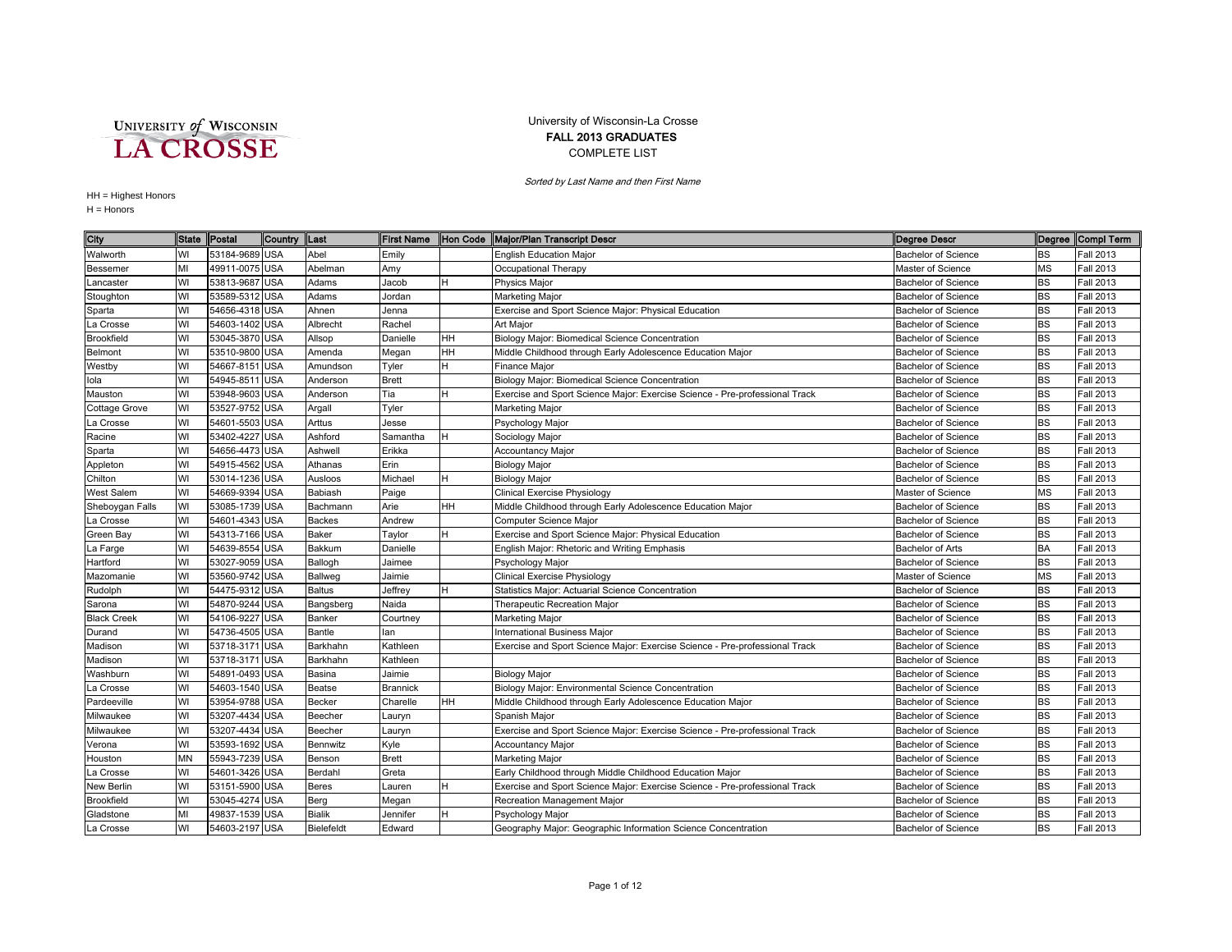UNIVERSITY of WISCONSIN<br>LA CROSSE

## University of Wisconsin-La Crosse FALL 2013 GRADUATES COMPLETE LIST

Sorted by Last Name and then First Name

## HH = Highest Honors

H = Honors

| City               | <b>State</b> | Postal         | Country     | <b>ILast</b>  | <b>First Name</b> | Hon Code  | Major/Plan Transcript Descr                                                 | <b>Degree Descr</b>        |           | Degree Compi Term |
|--------------------|--------------|----------------|-------------|---------------|-------------------|-----------|-----------------------------------------------------------------------------|----------------------------|-----------|-------------------|
| Walworth           | WI           | 53184-9689 USA |             | Abel          | Emily             |           | <b>English Education Maior</b>                                              | <b>Bachelor of Science</b> | <b>BS</b> | <b>Fall 2013</b>  |
| Bessemer           | MI           | 49911-0075 USA |             | Abelman       | Amy               |           | Occupational Therapy                                                        | Master of Science          | <b>MS</b> | <b>Fall 2013</b>  |
| Lancaster          | WI           | 53813-9687 USA |             | Adams         | Jacob             | H         | <b>Physics Major</b>                                                        | <b>Bachelor of Science</b> | <b>BS</b> | <b>Fall 2013</b>  |
| Stoughton          | WI           | 53589-5312 USA |             | Adams         | Jordan            |           | <b>Marketing Major</b>                                                      | <b>Bachelor of Science</b> | <b>BS</b> | <b>Fall 2013</b>  |
| Sparta             | WI           | 54656-4318 USA |             | Ahnen         | Jenna             |           | Exercise and Sport Science Major: Physical Education                        | <b>Bachelor of Science</b> | <b>BS</b> | <b>Fall 2013</b>  |
| La Crosse          | WI           | 54603-1402 USA |             | Albrecht      | Rachel            |           | <b>Art Major</b>                                                            | <b>Bachelor of Science</b> | <b>BS</b> | <b>Fall 2013</b>  |
| Brookfield         | WI           | 53045-3870 USA |             | Allsop        | Danielle          | HH        | Biology Major: Biomedical Science Concentration                             | <b>Bachelor of Science</b> | <b>BS</b> | <b>Fall 2013</b>  |
| Belmont            | WI           | 53510-9800 USA |             | Amenda        | Megan             | HH        | Middle Childhood through Early Adolescence Education Major                  | <b>Bachelor of Science</b> | <b>BS</b> | <b>Fall 2013</b>  |
| Westby             | WI           | 54667-8151     | <b>USA</b>  | Amundson      | Tyler             | H         | <b>Finance Major</b>                                                        | <b>Bachelor of Science</b> | <b>BS</b> | <b>Fall 2013</b>  |
| lola               | WI           | 54945-8511     | <b>IUSA</b> | Anderson      | <b>Brett</b>      |           | Biology Major: Biomedical Science Concentration                             | <b>Bachelor of Science</b> | <b>BS</b> | <b>Fall 2013</b>  |
| Mauston            | WI           | 53948-9603 USA |             | Anderson      | Tia               | H         | Exercise and Sport Science Major: Exercise Science - Pre-professional Track | <b>Bachelor of Science</b> | <b>BS</b> | <b>Fall 2013</b>  |
| Cottage Grove      | WI           | 53527-9752 USA |             | Argall        | Tyler             |           | <b>Marketing Major</b>                                                      | <b>Bachelor of Science</b> | <b>BS</b> | <b>Fall 2013</b>  |
| La Crosse          | WI           | 54601-5503 USA |             | Arttus        | Jesse             |           | Psychology Major                                                            | <b>Bachelor of Science</b> | <b>BS</b> | <b>Fall 2013</b>  |
| Racine             | WI           | 53402-4227 USA |             | Ashford       | Samantha          | H         | Sociology Major                                                             | <b>Bachelor of Science</b> | <b>BS</b> | <b>Fall 2013</b>  |
| Sparta             | WI           | 54656-4473 USA |             | Ashwell       | Erikka            |           | <b>Accountancy Major</b>                                                    | <b>Bachelor of Science</b> | <b>BS</b> | <b>Fall 2013</b>  |
| Appleton           | WI           | 54915-4562 USA |             | Athanas       | Erin              |           | <b>Biology Major</b>                                                        | <b>Bachelor of Science</b> | <b>BS</b> | <b>Fall 2013</b>  |
| Chilton            | WI           | 53014-1236 USA |             | Ausloos       | Michael           | H         | <b>Biology Major</b>                                                        | <b>Bachelor of Science</b> | BS        | <b>Fall 2013</b>  |
| West Salem         | WI           | 54669-9394 USA |             | Babiash       | Paige             |           | Clinical Exercise Physiology                                                | Master of Science          | ΜS        | <b>Fall 2013</b>  |
| Sheboygan Falls    | WI           | 53085-1739 USA |             | Bachmann      | Arie              | HH        | Middle Childhood through Early Adolescence Education Major                  | <b>Bachelor of Science</b> | <b>BS</b> | <b>Fall 2013</b>  |
| a Crosse           | WI           | 54601-4343 USA |             | Backes        | Andrew            |           | Computer Science Major                                                      | <b>Bachelor of Science</b> | <b>BS</b> | <b>Fall 2013</b>  |
| Green Bay          | WI           | 54313-7166 USA |             | Baker         | Taylor            | H         | Exercise and Sport Science Major: Physical Education                        | <b>Bachelor of Science</b> | <b>BS</b> | <b>Fall 2013</b>  |
| La Farge           | WI           | 54639-8554 USA |             | Bakkum        | Danielle          |           | English Major: Rhetoric and Writing Emphasis                                | Bachelor of Arts           | <b>BA</b> | <b>Fall 2013</b>  |
| Hartford           | WI           | 53027-9059 USA |             | Ballogh       | Jaimee            |           | Psychology Major                                                            | <b>Bachelor of Science</b> | BS        | <b>Fall 2013</b>  |
| Mazomanie          | WI           | 53560-9742 USA |             | Ballweg       | Jaimie            |           | <b>Clinical Exercise Physiology</b>                                         | Master of Science          | MS        | <b>Fall 2013</b>  |
| Rudolph            | WI           | 54475-9312 USA |             | <b>Baltus</b> | Jeffrey           | H         | Statistics Major: Actuarial Science Concentration                           | <b>Bachelor of Science</b> | <b>BS</b> | <b>Fall 2013</b>  |
| Sarona             | WI           | 54870-9244 USA |             | Bangsberg     | Naida             |           | Therapeutic Recreation Major                                                | <b>Bachelor of Science</b> | <b>BS</b> | <b>Fall 2013</b>  |
| <b>Black Creek</b> | WI           | 54106-9227     | <b>USA</b>  | Banker        | Courtney          |           | Marketing Major                                                             | <b>Bachelor of Science</b> | <b>BS</b> | <b>Fall 2013</b>  |
| Durand             | WI           | 54736-4505 USA |             | Bantle        | lan               |           | <b>International Business Major</b>                                         | <b>Bachelor of Science</b> | <b>BS</b> | <b>Fall 2013</b>  |
| Madison            | WI           | 53718-3171     | <b>USA</b>  | Barkhahn      | Kathleen          |           | Exercise and Sport Science Major: Exercise Science - Pre-professional Track | <b>Bachelor of Science</b> | <b>BS</b> | <b>Fall 2013</b>  |
| Madison            | WI           | 53718-3171 USA |             | Barkhahn      | Kathleen          |           |                                                                             | <b>Bachelor of Science</b> | BS        | <b>Fall 2013</b>  |
| Washburn           | WI           | 54891-0493 USA |             | Basina        | Jaimie            |           | <b>Biology Major</b>                                                        | <b>Bachelor of Science</b> | <b>BS</b> | <b>Fall 2013</b>  |
| La Crosse          | WI           | 54603-1540 USA |             | Beatse        | <b>Brannick</b>   |           | Biology Major: Environmental Science Concentration                          | <b>Bachelor of Science</b> | <b>BS</b> | <b>Fall 2013</b>  |
| Pardeeville        | WI           | 53954-9788 USA |             | Becker        | Charelle          | <b>HH</b> | Middle Childhood through Early Adolescence Education Major                  | <b>Bachelor of Science</b> | <b>BS</b> | <b>Fall 2013</b>  |
| Milwaukee          | WI           | 53207-4434 USA |             | Beecher       | Lauryn            |           | Spanish Major                                                               | <b>Bachelor of Science</b> | <b>BS</b> | <b>Fall 2013</b>  |
| Milwaukee          | WI           | 53207-4434 USA |             | Beecher       | Lauryn            |           | Exercise and Sport Science Major: Exercise Science - Pre-professional Track | <b>Bachelor of Science</b> | <b>BS</b> | <b>Fall 2013</b>  |
| Verona             | WI           | 53593-1692 USA |             | Bennwitz      | Kyle              |           | <b>Accountancy Major</b>                                                    | <b>Bachelor of Science</b> | BS        | <b>Fall 2013</b>  |
| Houston            | MN           | 55943-7239 USA |             | Benson        | <b>Brett</b>      |           | <b>Marketing Major</b>                                                      | <b>Bachelor of Science</b> | <b>BS</b> | <b>Fall 2013</b>  |
| La Crosse          | WI           | 54601-3426 USA |             | Berdahl       | Greta             |           | Early Childhood through Middle Childhood Education Major                    | <b>Bachelor of Science</b> | <b>BS</b> | <b>Fall 2013</b>  |
| New Berlin         | WI           | 53151-5900 USA |             | <b>Beres</b>  | Lauren            | H         | Exercise and Sport Science Major: Exercise Science - Pre-professional Track | <b>Bachelor of Science</b> | <b>BS</b> | <b>Fall 2013</b>  |
| <b>Brookfield</b>  | WI           | 53045-4274 USA |             | Berg          | Megan             |           | Recreation Management Major                                                 | <b>Bachelor of Science</b> | BS        | <b>Fall 2013</b>  |
| Gladstone          | MI           | 49837-1539 USA |             | <b>Bialik</b> | Jennifer          | H         | Psychology Major                                                            | <b>Bachelor of Science</b> | <b>BS</b> | <b>Fall 2013</b>  |
| La Crosse          | WI           | 54603-2197 USA |             | Bielefeldt    | Edward            |           | Geography Major: Geographic Information Science Concentration               | <b>Bachelor of Science</b> | <b>BS</b> | <b>Fall 2013</b>  |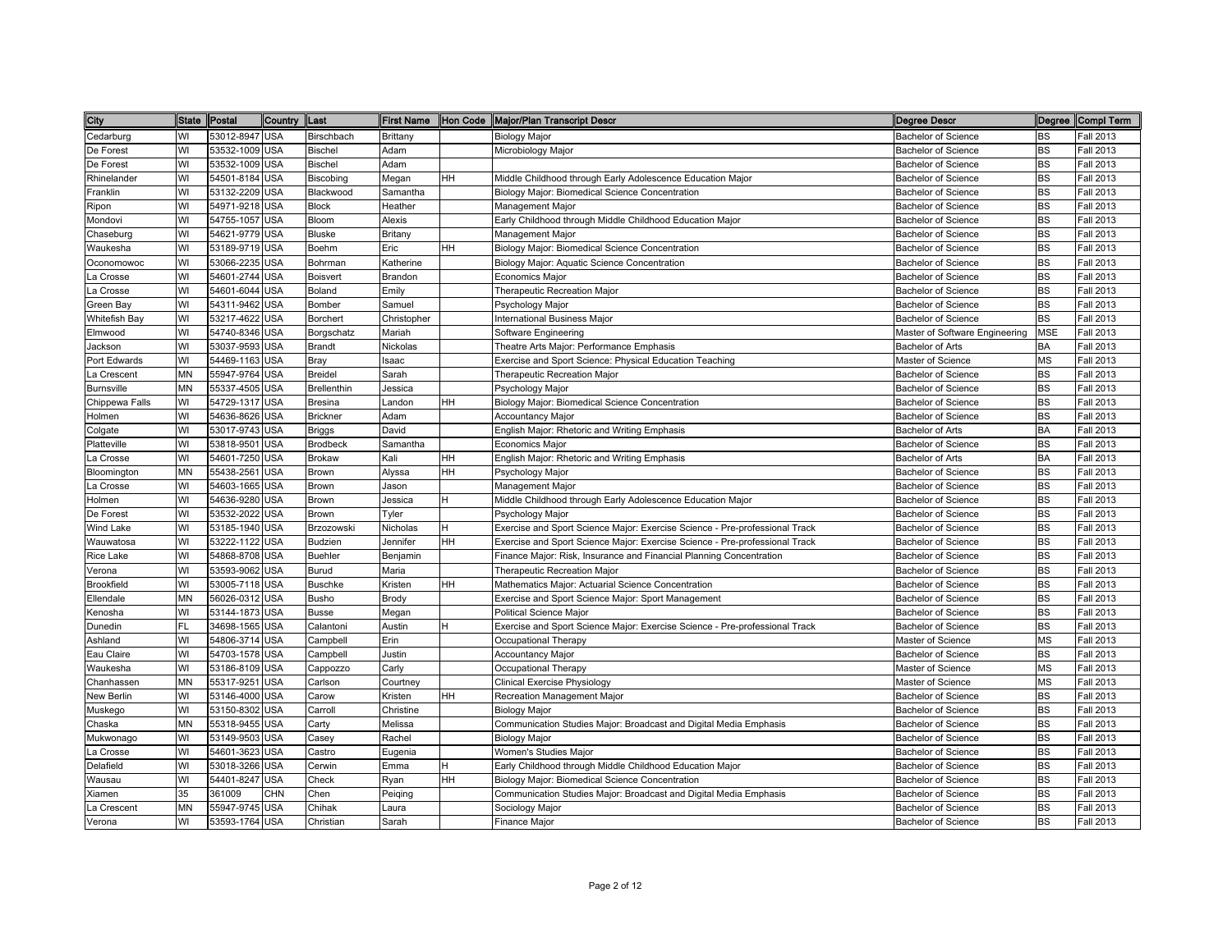| City              | State Postal |                | Country    | <b>Last</b>        |             |           | First Name  Hon Code  Major/Plan Transcript Descr                           | <b>Degree Descr</b>            |            | Degree Compl Term |
|-------------------|--------------|----------------|------------|--------------------|-------------|-----------|-----------------------------------------------------------------------------|--------------------------------|------------|-------------------|
| Cedarburg         | WI           | 53012-8947 USA |            | Birschbach         | Brittany    |           | <b>Biology Major</b>                                                        | Bachelor of Science            | <b>BS</b>  | Fall 2013         |
| De Forest         | WI           | 53532-1009 USA |            | <b>Bischel</b>     | Adam        |           | Microbiology Major                                                          | Bachelor of Science            | BS         | Fall 2013         |
| De Forest         | WI           | 53532-1009 USA |            | <b>Bischel</b>     | Adam        |           |                                                                             | <b>Bachelor of Science</b>     | <b>BS</b>  | Fall 2013         |
| Rhinelander       | WI           | 54501-8184 USA |            | Biscobing          | Megan       | <b>HH</b> | Middle Childhood through Early Adolescence Education Major                  | <b>Bachelor of Science</b>     | <b>BS</b>  | Fall 2013         |
| Franklin          | WI           | 53132-2209 USA |            | Blackwood          | Samantha    |           | Biology Major: Biomedical Science Concentration                             | <b>Bachelor of Science</b>     | <b>BS</b>  | Fall 2013         |
| Ripon             | WI           | 54971-9218 USA |            | <b>Block</b>       | Heather     |           | Management Major                                                            | <b>Bachelor of Science</b>     | <b>BS</b>  | Fall 2013         |
| Mondovi           | WI           | 54755-1057 USA |            | Bloom              | Alexis      |           | Early Childhood through Middle Childhood Education Major                    | <b>Bachelor of Science</b>     | <b>BS</b>  | <b>Fall 2013</b>  |
| Chaseburg         | WI           | 54621-9779 USA |            | <b>Bluske</b>      | Britany     |           | Management Major                                                            | Bachelor of Science            | <b>BS</b>  | Fall 2013         |
| Waukesha          | WI           | 53189-9719 USA |            | Boehm              | Eric        | <b>HH</b> | Biology Major: Biomedical Science Concentration                             | <b>Bachelor of Science</b>     | <b>BS</b>  | Fall 2013         |
| Oconomowoc        | WI           | 53066-2235 USA |            | Bohrman            | Katherine   |           | Biology Major: Aquatic Science Concentration                                | Bachelor of Science            | <b>BS</b>  | Fall 2013         |
| La Crosse         | WI           | 54601-2744 USA |            | <b>Boisvert</b>    | Brandon     |           | Economics Major                                                             | Bachelor of Science            | <b>BS</b>  | Fall 2013         |
| a Crosse          | WI           | 54601-6044 USA |            | Boland             | Emily       |           | Therapeutic Recreation Major                                                | Bachelor of Science            | <b>BS</b>  | Fall 2013         |
| Green Bay         | WI           | 54311-9462 USA |            | Bomber             | Samuel      |           | Psychology Major                                                            | Bachelor of Science            | <b>BS</b>  | Fall 2013         |
| Whitefish Bay     | WI           | 53217-4622 USA |            | Borchert           | Christopher |           | nternational Business Major                                                 | Bachelor of Science            | <b>BS</b>  | Fall 2013         |
| Elmwood           | WI           | 54740-8346 USA |            | Borgschatz         | Mariah      |           | Software Engineering                                                        | Master of Software Engineering | <b>MSE</b> | Fall 2013         |
| Jackson           | WI           | 53037-9593 USA |            | <b>Brandt</b>      | Nickolas    |           | Theatre Arts Major: Performance Emphasis                                    | Bachelor of Arts               | BA         | Fall 2013         |
| Port Edwards      | WI           | 54469-1163 USA |            | Bray               | Isaac       |           | Exercise and Sport Science: Physical Education Teaching                     | Master of Science              | <b>MS</b>  | <b>Fall 2013</b>  |
| La Crescent       | MN           | 55947-9764 USA |            | <b>Breidel</b>     | Sarah       |           | Therapeutic Recreation Major                                                | <b>Bachelor of Science</b>     | <b>BS</b>  | <b>Fall 2013</b>  |
| <b>Burnsville</b> | MN           | 55337-4505 USA |            | <b>Brellenthin</b> | Jessica     |           | Psychology Major                                                            | <b>Bachelor of Science</b>     | <b>BS</b>  | Fall 2013         |
| Chippewa Falls    | WI           | 54729-1317 USA |            | <b>Bresina</b>     | Landon      | <b>HH</b> | Biology Major: Biomedical Science Concentration                             | Bachelor of Science            | <b>BS</b>  | Fall 2013         |
| Holmen            | WI           | 54636-8626 USA |            | <b>Brickner</b>    | Adam        |           | <b>Accountancy Major</b>                                                    | Bachelor of Science            | <b>BS</b>  | Fall 2013         |
| Colgate           | WI           | 53017-9743 USA |            | <b>Briggs</b>      | David       |           | English Major: Rhetoric and Writing Emphasis                                | <b>Bachelor of Arts</b>        | <b>BA</b>  | Fall 2013         |
| Platteville       | WI           | 53818-9501 USA |            | <b>Brodbeck</b>    | Samantha    |           | <b>Economics Major</b>                                                      | <b>Bachelor of Science</b>     | <b>BS</b>  | <b>Fall 2013</b>  |
| _a Crosse         | WI           | 54601-7250 USA |            | <b>Brokaw</b>      | Kali        | <b>HH</b> | English Major: Rhetoric and Writing Emphasis                                | Bachelor of Arts               | BA         | Fall 2013         |
| Bloomington       | MN           | 55438-2561     | <b>USA</b> | Brown              | Alyssa      | HH        | Psychology Major                                                            | Bachelor of Science            | <b>BS</b>  | Fall 2013         |
| _a Crosse         | WI           | 54603-1665 USA |            | Brown              | Jason       |           | Management Major                                                            | <b>Bachelor of Science</b>     | <b>BS</b>  | Fall 2013         |
| Holmen            | WI           | 54636-9280 USA |            | Brown              | Jessica     | H         | Middle Childhood through Early Adolescence Education Major                  | <b>Bachelor of Science</b>     | <b>BS</b>  | Fall 2013         |
| De Forest         | WI           | 53532-2022 USA |            | <b>Brown</b>       | Tyler       |           | Psychology Major                                                            | <b>Bachelor of Science</b>     | <b>BS</b>  | Fall 2013         |
| Wind Lake         | WI           | 53185-1940 USA |            | Brzozowski         | Nicholas    | H         | Exercise and Sport Science Major: Exercise Science - Pre-professional Track | <b>Bachelor of Science</b>     | <b>BS</b>  | Fall 2013         |
| Wauwatosa         | WI           | 53222-1122 USA |            | <b>Budzien</b>     | Jennifer    | HH        | Exercise and Sport Science Major: Exercise Science - Pre-professional Track | Bachelor of Science            | <b>BS</b>  | Fall 2013         |
| Rice Lake         | WI           | 54868-8708 USA |            | <b>Buehler</b>     | Benjamin    |           | Finance Major: Risk, Insurance and Financial Planning Concentration         | <b>Bachelor of Science</b>     | <b>BS</b>  | Fall 2013         |
| √erona            | WI           | 53593-9062 USA |            | Burud              | Maria       |           | Therapeutic Recreation Major                                                | <b>Bachelor of Science</b>     | <b>BS</b>  | Fall 2013         |
| Brookfield        | WI           | 53005-7118 USA |            | <b>Buschke</b>     | Kristen     | HH        | Mathematics Major: Actuarial Science Concentration                          | Bachelor of Science            | <b>BS</b>  | Fall 2013         |
| Ellendale         | MN           | 56026-0312 USA |            | <b>Busho</b>       | Brody       |           | Exercise and Sport Science Major: Sport Management                          | Bachelor of Science            | <b>BS</b>  | Fall 2013         |
| Kenosha           | WI           | 53144-1873 USA |            | <b>Busse</b>       | Megan       |           | <b>Political Science Major</b>                                              | Bachelor of Science            | <b>BS</b>  | <b>Fall 2013</b>  |
| Dunedin           | FL           | 34698-1565 USA |            | Calantoni          | Austin      | H         | Exercise and Sport Science Major: Exercise Science - Pre-professional Track | Bachelor of Science            | <b>BS</b>  | Fall 2013         |
| Ashland           | WI           | 54806-3714 USA |            | Campbell           | Erin        |           | Occupational Therapy                                                        | Master of Science              | <b>MS</b>  | Fall 2013         |
| Eau Claire        | WI           | 54703-1578 USA |            | Campbell           | Justin      |           | <b>Accountancy Major</b>                                                    | <b>Bachelor of Science</b>     | <b>BS</b>  | Fall 2013         |
| Waukesha          | WI           | 53186-8109 USA |            | Cappozzo           | Carly       |           | Occupational Therapy                                                        | Master of Science              | <b>MS</b>  | Fall 2013         |
| Chanhassen        | MN           | 55317-9251     | <b>USA</b> | Carlson            | Courtney    |           | Clinical Exercise Physiology                                                | Master of Science              | <b>MS</b>  | Fall 2013         |
| New Berlin        | WI           | 53146-4000 USA |            | Carow              | Kristen     | <b>HH</b> | Recreation Management Major                                                 | <b>Bachelor of Science</b>     | <b>BS</b>  | Fall 2013         |
| Muskego           | WI           | 53150-8302 USA |            | Carroll            | Christine   |           | <b>Biology Major</b>                                                        | <b>Bachelor of Science</b>     | <b>BS</b>  | Fall 2013         |
| Chaska            | MN           | 55318-9455 USA |            | Carty              | Melissa     |           | Communication Studies Major: Broadcast and Digital Media Emphasis           | Bachelor of Science            | <b>BS</b>  | Fall 2013         |
| Mukwonago         | WI           | 53149-9503 USA |            | Casey              | Rachel      |           | <b>Biology Major</b>                                                        | <b>Bachelor of Science</b>     | <b>BS</b>  | Fall 2013         |
| La Crosse         | WI           | 54601-3623 USA |            | Castro             | Eugenia     |           | Women's Studies Major                                                       | Bachelor of Science            | <b>BS</b>  | Fall 2013         |
| Delafield         | WI           | 53018-3266 USA |            | Cerwin             | Emma        | H         | Early Childhood through Middle Childhood Education Major                    | Bachelor of Science            | <b>BS</b>  | Fall 2013         |
| Wausau            | WI           | 54401-8247 USA |            | Check              | Ryan        | <b>HH</b> | Biology Major: Biomedical Science Concentration                             | Bachelor of Science            | <b>BS</b>  | Fall 2013         |
| Xiamen            | 35           | 361009         | <b>CHN</b> | Chen               | Peiging     |           | Communication Studies Major: Broadcast and Digital Media Emphasis           | <b>Bachelor of Science</b>     | <b>BS</b>  | Fall 2013         |
| La Crescent       | MN           | 55947-9745 USA |            | Chihak             | Laura       |           | Sociology Major                                                             | Bachelor of Science            | <b>BS</b>  | Fall 2013         |
| Verona            | WI           | 53593-1764 USA |            | Christian          | Sarah       |           | Finance Major                                                               | <b>Bachelor of Science</b>     | <b>BS</b>  | Fall 2013         |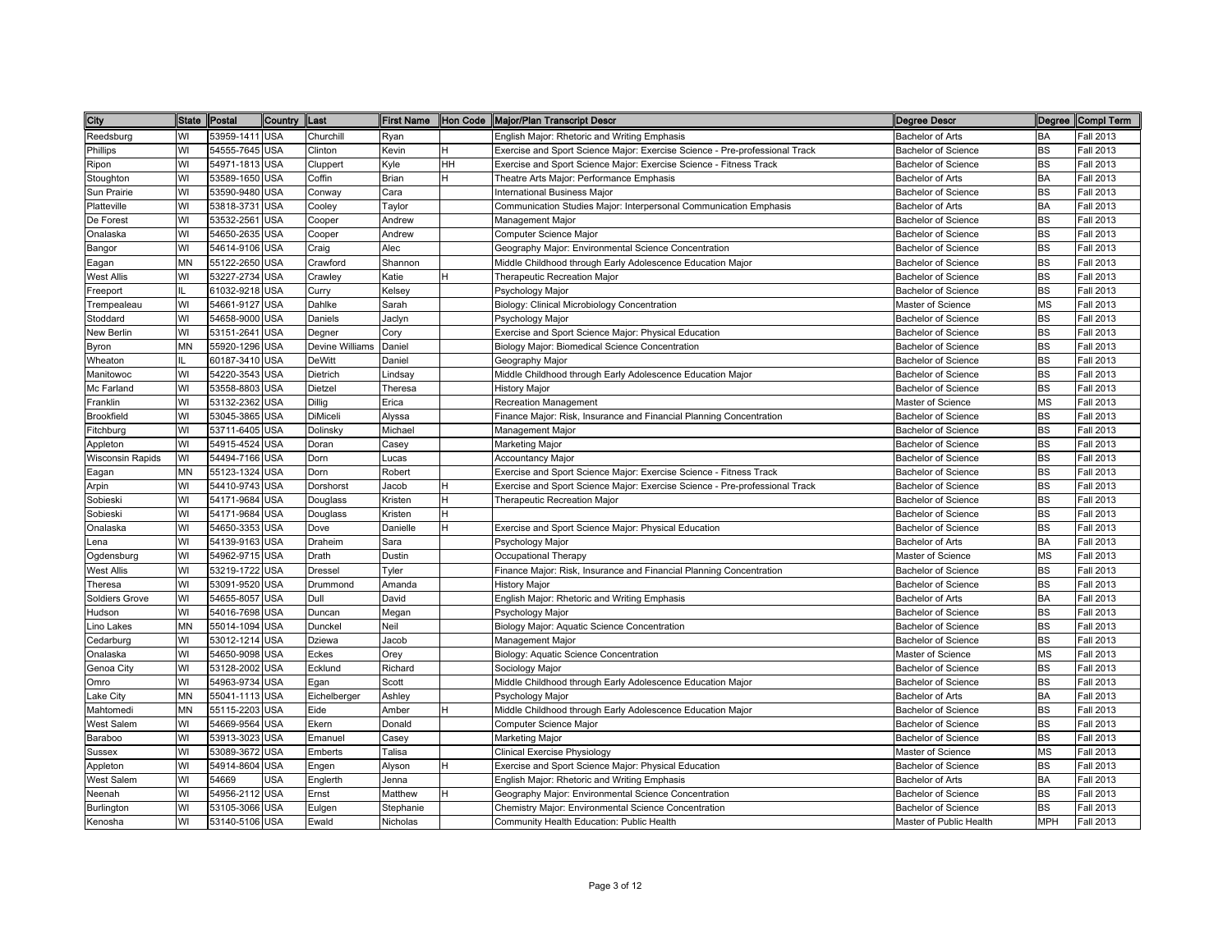| City              | State Postal |                | Country Last |                 |           |           | First Name Hon Code Major/Plan Transcript Descr                             | <b>Degree Descr</b>        |            | Degree Compl Term |
|-------------------|--------------|----------------|--------------|-----------------|-----------|-----------|-----------------------------------------------------------------------------|----------------------------|------------|-------------------|
| Reedsburg         | WI           | 53959-1411 USA |              | Churchill       | Ryan      |           | English Major: Rhetoric and Writing Emphasis                                | <b>Bachelor of Arts</b>    | BA         | Fall 2013         |
| Phillips          | WI           | 54555-7645 USA |              | Clinton         | Kevin     | н         | Exercise and Sport Science Major: Exercise Science - Pre-professional Track | Bachelor of Science        | BS         | Fall 2013         |
| Ripon             | WI           | 54971-1813 USA |              | Cluppert        | Kyle      | <b>HH</b> | Exercise and Sport Science Major: Exercise Science - Fitness Track          | Bachelor of Science        | <b>BS</b>  | Fall 2013         |
| Stoughton         | WI           | 53589-1650 USA |              | Coffin          | Brian     | H         | Theatre Arts Major: Performance Emphasis                                    | <b>Bachelor of Arts</b>    | <b>BA</b>  | Fall 2013         |
| Sun Prairie       | WI           | 53590-9480 USA |              | Conway          | Cara      |           | <b>International Business Major</b>                                         | Bachelor of Science        | <b>BS</b>  | Fall 2013         |
| Platteville       | WI           | 53818-3731 USA |              | Cooley          | Taylor    |           | Communication Studies Major: Interpersonal Communication Emphasis           | <b>Bachelor of Arts</b>    | <b>BA</b>  | Fall 2013         |
| De Forest         | WI           | 53532-2561     | <b>USA</b>   | Cooper          | Andrew    |           | Management Major                                                            | <b>Bachelor of Science</b> | <b>BS</b>  | Fall 2013         |
| Onalaska          | WI           | 54650-2635 USA |              | Cooper          | Andrew    |           | Computer Science Major                                                      | Bachelor of Science        | <b>BS</b>  | Fall 2013         |
| Bangor            | WI           | 54614-9106 USA |              | Craig           | Alec      |           | Geography Major: Environmental Science Concentration                        | <b>Bachelor of Science</b> | <b>BS</b>  | Fall 2013         |
| Eagan             | MN           | 55122-2650 USA |              | Crawford        | Shannon   |           | Middle Childhood through Early Adolescence Education Major                  | Bachelor of Science        | <b>BS</b>  | Fall 2013         |
| West Allis        | WI           | 53227-2734 USA |              | Crawley         | Katie     | H         | Therapeutic Recreation Major                                                | Bachelor of Science        | <b>BS</b>  | Fall 2013         |
| Freeport          | IL.          | 61032-9218 USA |              | Curry           | Kelsey    |           | Psychology Major                                                            | Bachelor of Science        | <b>BS</b>  | Fall 2013         |
| Trempealeau       | WI           | 54661-9127 USA |              | Dahlke          | Sarah     |           | Biology: Clinical Microbiology Concentration                                | Master of Science          | <b>MS</b>  | Fall 2013         |
| Stoddard          | WI           | 54658-9000 USA |              | Daniels         | Jaclyn    |           | Psychology Major                                                            | Bachelor of Science        | <b>BS</b>  | Fall 2013         |
| <b>New Berlin</b> | WI           | 53151-2641 USA |              | Degner          | Cory      |           | Exercise and Sport Science Major: Physical Education                        | <b>Bachelor of Science</b> | <b>BS</b>  | Fall 2013         |
| Byron             | MN           | 55920-1296 USA |              | Devine Williams | Daniel    |           | Biology Major: Biomedical Science Concentration                             | <b>Bachelor of Science</b> | <b>BS</b>  | Fall 2013         |
| Wheaton           |              | 60187-3410 USA |              | <b>DeWitt</b>   | Daniel    |           | Geography Major                                                             | <b>Bachelor of Science</b> | <b>BS</b>  | Fall 2013         |
| Manitowoc         | WI           | 54220-3543 USA |              | Dietrich        | Lindsay   |           | Middle Childhood through Early Adolescence Education Major                  | <b>Bachelor of Science</b> | <b>BS</b>  | Fall 2013         |
| Mc Farland        | WI           | 53558-8803 USA |              | Dietzel         | Theresa   |           | <b>History Major</b>                                                        | Bachelor of Science        | <b>BS</b>  | Fall 2013         |
| Franklin          | WI           | 53132-2362 USA |              | <b>Dillig</b>   | Erica     |           | <b>Recreation Management</b>                                                | Master of Science          | <b>MS</b>  | Fall 2013         |
| Brookfield        | WI           | 53045-3865 USA |              | <b>DiMiceli</b> | Alyssa    |           | Finance Major: Risk, Insurance and Financial Planning Concentration         | <b>Bachelor of Science</b> | <b>BS</b>  | Fall 2013         |
| Fitchburg         | WI           | 53711-6405 USA |              | Dolinsky        | Michael   |           | Management Major                                                            | Bachelor of Science        | <b>BS</b>  | Fall 2013         |
| Appleton          | WI           | 54915-4524 USA |              | Doran           | Casey     |           | <b>Marketing Major</b>                                                      | Bachelor of Science        | <b>BS</b>  | Fall 2013         |
| Wisconsin Rapids  | WI           | 54494-7166 USA |              | Dorn            | Lucas     |           | <b>Accountancy Major</b>                                                    | Bachelor of Science        | <b>BS</b>  | <b>Fall 2013</b>  |
| ∃agan             | MΝ           | 55123-1324 USA |              | Dorn            | Robert    |           | Exercise and Sport Science Major: Exercise Science - Fitness Track          | Bachelor of Science        | <b>BS</b>  | Fall 2013         |
| Arpin             | WI           | 54410-9743 USA |              | Dorshorst       | Jacob     | н         | Exercise and Sport Science Major: Exercise Science - Pre-professional Track | <b>Bachelor of Science</b> | BS         | Fall 2013         |
| Sobieski          | WI           | 54171-9684 USA |              | Douglass        | Kristen   | H         | Therapeutic Recreation Major                                                | <b>Bachelor of Science</b> | <b>BS</b>  | Fall 2013         |
| Sobieski          | WI           | 54171-9684 USA |              | Douglass        | Kristen   | H         |                                                                             | Bachelor of Science        | <b>BS</b>  | Fall 2013         |
| Onalaska          | WI           | 54650-3353 USA |              | Dove            | Danielle  | H         | Exercise and Sport Science Major: Physical Education                        | <b>Bachelor of Science</b> | <b>BS</b>  | Fall 2013         |
| ena.              | WI           | 54139-9163 USA |              | Draheim         | Sara      |           | Psychology Major                                                            | <b>Bachelor of Arts</b>    | <b>BA</b>  | Fall 2013         |
| Ogdensburg        | WI           | 54962-9715 USA |              | Drath           | Dustin    |           | Occupational Therapy                                                        | Master of Science          | <b>MS</b>  | Fall 2013         |
| <b>West Allis</b> | WI           | 53219-1722 USA |              | <b>Dressel</b>  | Tyler     |           | Finance Major: Risk, Insurance and Financial Planning Concentration         | <b>Bachelor of Science</b> | <b>BS</b>  | Fall 2013         |
| Theresa           | WI           | 53091-9520 USA |              | Drummond        | Amanda    |           | <b>History Major</b>                                                        | <b>Bachelor of Science</b> | <b>BS</b>  | Fall 2013         |
| Soldiers Grove    | WI           | 54655-8057 USA |              | Dull            | David     |           | English Major: Rhetoric and Writing Emphasis                                | Bachelor of Arts           | BA         | Fall 2013         |
| Hudson            | WI           | 54016-7698 USA |              | Duncan          | Megan     |           | Psychology Major                                                            | <b>Bachelor of Science</b> | <b>BS</b>  | Fall 2013         |
| ino Lakes         | MN           | 55014-1094 USA |              | Dunckel         | Neil      |           | Biology Major: Aquatic Science Concentration                                | Bachelor of Science        | <b>BS</b>  | Fall 2013         |
| Cedarburg         | WI           | 53012-1214 USA |              | Dziewa          | Jacob     |           | Management Major                                                            | Bachelor of Science        | <b>BS</b>  | Fall 2013         |
| Onalaska          | WI           | 54650-9098 USA |              | Eckes           | Orey      |           | Biology: Aquatic Science Concentration                                      | Master of Science          | <b>MS</b>  | Fall 2013         |
| Genoa City        | WI           | 53128-2002 USA |              | Ecklund         | Richard   |           | Sociology Major                                                             | <b>Bachelor of Science</b> | BS         | Fall 2013         |
| Omro              | WI           | 54963-9734 USA |              | Egan            | Scott     |           | Middle Childhood through Early Adolescence Education Major                  | <b>Bachelor of Science</b> | <b>BS</b>  | Fall 2013         |
| _ake City         | MN           | 55041-1113 USA |              | Eichelberger    | Ashley    |           | Psychology Major                                                            | <b>Bachelor of Arts</b>    | <b>BA</b>  | Fall 2013         |
| Mahtomedi         | MN           | 55115-2203 USA |              | Eide            | Amber     | H         | Middle Childhood through Early Adolescence Education Major                  | <b>Bachelor of Science</b> | <b>BS</b>  | Fall 2013         |
| West Salem        | WI           | 54669-9564 USA |              | Ekern           | Donald    |           | Computer Science Major                                                      | Bachelor of Science        | <b>BS</b>  | Fall 2013         |
| Baraboo           | WI           | 53913-3023 USA |              | Emanuel         | Casey     |           | <b>Marketing Major</b>                                                      | <b>Bachelor of Science</b> | <b>BS</b>  | Fall 2013         |
| Sussex            | WI           | 53089-3672 USA |              | Emberts         | Talisa    |           | Clinical Exercise Physiology                                                | Master of Science          | <b>MS</b>  | Fall 2013         |
| Appleton          | WI           | 54914-8604 USA |              | Engen           | Alyson    | H         | Exercise and Sport Science Major: Physical Education                        | Bachelor of Science        | <b>BS</b>  | Fall 2013         |
| West Salem        | WI           | 54669          | <b>USA</b>   | Englerth        | Jenna     |           | English Major: Rhetoric and Writing Emphasis                                | <b>Bachelor of Arts</b>    | <b>BA</b>  | Fall 2013         |
| Neenah            | WI           | 54956-2112 USA |              | Ernst           | Matthew   | H         | Geography Major: Environmental Science Concentration                        | Bachelor of Science        | BS         | Fall 2013         |
| Burlington        | WI           | 53105-3066 USA |              | Eulgen          | Stephanie |           | Chemistry Major: Environmental Science Concentration                        | Bachelor of Science        | <b>BS</b>  | Fall 2013         |
| Kenosha           | WI           | 53140-5106 USA |              | Ewald           | Nicholas  |           | Community Health Education: Public Health                                   | Master of Public Health    | <b>MPH</b> | <b>Fall 2013</b>  |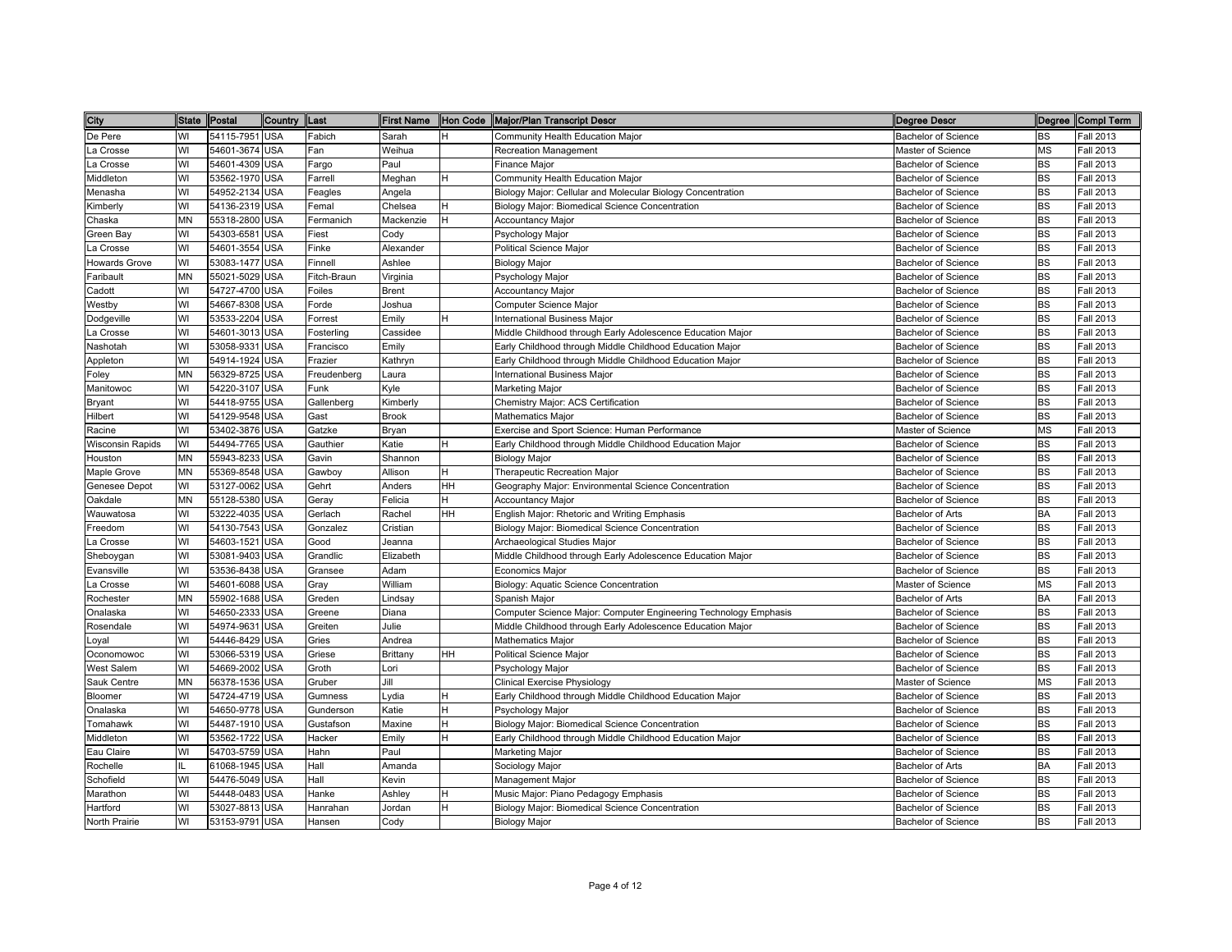| City                    |           | State Postal   | Country    | Last        |              |    | First Name  Hon Code  Major/Plan Transcript Descr                | <b>Degree Descr</b>        |           | Degree Compl Term |
|-------------------------|-----------|----------------|------------|-------------|--------------|----|------------------------------------------------------------------|----------------------------|-----------|-------------------|
| De Pere                 | WI        | 54115-7951     | <b>USA</b> | Fabich      | Sarah        | н  | Community Health Education Major                                 | Bachelor of Science        | <b>BS</b> | Fall 2013         |
| La Crosse               | WI        | 54601-3674     | <b>USA</b> | Fan         | Weihua       |    | Recreation Management                                            | Master of Science          | MS        | Fall 2013         |
| La Crosse               | WI        | 54601-4309 USA |            | Fargo       | Paul         |    | Finance Major                                                    | <b>Bachelor of Science</b> | <b>BS</b> | Fall 2013         |
| Middleton               | WI        | 53562-1970 USA |            | Farrell     | Meghan       | H  | Community Health Education Major                                 | <b>Bachelor of Science</b> | <b>BS</b> | Fall 2013         |
| Menasha                 | WI        | 54952-2134     | <b>USA</b> | Feagles     | Angela       |    | Biology Major: Cellular and Molecular Biology Concentration      | <b>Bachelor of Science</b> | <b>BS</b> | Fall 2013         |
| Kimberly                | WI        | 54136-2319 USA |            | Femal       | Chelsea      |    | Biology Major: Biomedical Science Concentration                  | <b>Bachelor of Science</b> | <b>BS</b> | Fall 2013         |
| Chaska                  | <b>MN</b> | 55318-2800     | <b>USA</b> | Fermanich   | Mackenzie    |    | Accountancy Major                                                | <b>Bachelor of Science</b> | <b>BS</b> | <b>Fall 2013</b>  |
| Green Bay               | WI        | 54303-6581     | <b>USA</b> | Fiest       | Cody         |    | Psychology Major                                                 | <b>Bachelor of Science</b> | <b>BS</b> | Fall 2013         |
| La Crosse               | WI        | 54601-3554     | <b>USA</b> | Finke       | Alexander    |    | Political Science Major                                          | <b>Bachelor of Science</b> | <b>BS</b> | Fall 2013         |
| <b>Howards Grove</b>    | WI        | 53083-1477     | <b>USA</b> | Finnell     | Ashlee       |    | <b>Biology Major</b>                                             | <b>Bachelor of Science</b> | <b>BS</b> | Fall 2013         |
| Faribault               | MN        | 55021-5029     | <b>USA</b> | Fitch-Braun | Virginia     |    | Psychology Major                                                 | <b>Bachelor of Science</b> | <b>BS</b> | Fall 2013         |
| Cadott                  | WI        | 54727-4700 USA |            | Foiles      | <b>Brent</b> |    | <b>Accountancy Major</b>                                         | <b>Bachelor of Science</b> | <b>BS</b> | Fall 2013         |
| Westby                  | WI        | 54667-8308 USA |            | Forde       | Joshua       |    | Computer Science Major                                           | <b>Bachelor of Science</b> | <b>BS</b> | Fall 2013         |
| Dodgeville              | WI        | 53533-2204     | <b>USA</b> | Forrest     | Emily        |    | International Business Major                                     | Bachelor of Science        | <b>BS</b> | Fall 2013         |
| La Crosse               | WI        | 54601-3013     | <b>USA</b> | Fosterling  | Cassidee     |    | Middle Childhood through Early Adolescence Education Major       | <b>Bachelor of Science</b> | <b>BS</b> | Fall 2013         |
| Nashotah                | WI        | 53058-9331     | <b>USA</b> | Francisco   | Emily        |    | Early Childhood through Middle Childhood Education Major         | <b>Bachelor of Science</b> | <b>BS</b> | Fall 2013         |
| Appleton                | WI        | 54914-1924     | <b>USA</b> | Frazier     | Kathryn      |    | Early Childhood through Middle Childhood Education Major         | <b>Bachelor of Science</b> | <b>BS</b> | Fall 2013         |
| Foley                   | <b>MN</b> | 56329-8725     | <b>USA</b> | Freudenberg | Laura        |    | <b>International Business Major</b>                              | <b>Bachelor of Science</b> | <b>BS</b> | Fall 2013         |
| Manitowoc               | WI        | 54220-3107     | <b>USA</b> | Funk        | Kyle         |    | Marketing Major                                                  | <b>Bachelor of Science</b> | <b>BS</b> | Fall 2013         |
| Bryant                  | WI        | 54418-9755     | <b>USA</b> | Gallenberg  | Kimberly     |    | Chemistry Major: ACS Certification                               | <b>Bachelor of Science</b> | <b>BS</b> | Fall 2013         |
| Hilbert                 | WI        | 54129-9548 USA |            | Gast        | <b>Brook</b> |    | <b>Mathematics Major</b>                                         | <b>Bachelor of Science</b> | <b>BS</b> | Fall 2013         |
| Racine                  | WI        | 53402-3876 USA |            | Gatzke      | Bryan        |    | Exercise and Sport Science: Human Performance                    | Master of Science          | MS        | Fall 2013         |
| <b>Wisconsin Rapids</b> | WI        | 54494-7765     | <b>USA</b> | Gauthier    | Katie        | н  | Early Childhood through Middle Childhood Education Major         | <b>Bachelor of Science</b> | <b>BS</b> | Fall 2013         |
| Houston                 | MN        | 55943-8233     | <b>USA</b> | Gavin       | Shannon      |    | <b>Biology Major</b>                                             | Bachelor of Science        | <b>BS</b> | <b>Fall 2013</b>  |
| Maple Grove             | MN        | 55369-8548 USA |            | Gawboy      | Allison      | Н  | Therapeutic Recreation Major                                     | Bachelor of Science        | <b>BS</b> | Fall 2013         |
| Genesee Depot           | WI        | 53127-0062     | <b>USA</b> | Gehrt       | Anders       | HH | Geography Major: Environmental Science Concentration             | <b>Bachelor of Science</b> | BS        | Fall 2013         |
| Oakdale                 | <b>MN</b> | 55128-5380     | <b>USA</b> | Geray       | Felicia      |    | <b>Accountancy Major</b>                                         | <b>Bachelor of Science</b> | <b>BS</b> | Fall 2013         |
| Wauwatosa               | WI        | 53222-4035     | <b>USA</b> | Gerlach     | Rachel       | HН | English Major: Rhetoric and Writing Emphasis                     | Bachelor of Arts           | BA        | Fall 2013         |
| Freedom                 | WI        | 54130-7543     | <b>USA</b> | Gonzalez    | Cristian     |    | Biology Major: Biomedical Science Concentration                  | <b>Bachelor of Science</b> | <b>BS</b> | Fall 2013         |
| La Crosse               | WI        | 54603-1521     | <b>USA</b> | Good        | Jeanna       |    | Archaeological Studies Major                                     | <b>Bachelor of Science</b> | <b>BS</b> | Fall 2013         |
| Sheboygan               | WI        | 53081-9403     | <b>USA</b> | Grandlic    | Elizabeth    |    | Middle Childhood through Early Adolescence Education Major       | <b>Bachelor of Science</b> | <b>BS</b> | Fall 2013         |
| Evansville              | WI        | 53536-8438     | <b>USA</b> | Gransee     | Adam         |    | <b>Economics Major</b>                                           | <b>Bachelor of Science</b> | <b>BS</b> | Fall 2013         |
| La Crosse               | WI        | 54601-6088     | <b>USA</b> | Gray        | William      |    | Biology: Aquatic Science Concentration                           | Master of Science          | <b>MS</b> | Fall 2013         |
| Rochester               | <b>MN</b> | 55902-1688 USA |            | Greden      | Lindsay      |    | Spanish Major                                                    | Bachelor of Arts           | BA        | Fall 2013         |
| Onalaska                | WI        | 54650-2333     | <b>USA</b> | Greene      | Diana        |    | Computer Science Major: Computer Engineering Technology Emphasis | <b>Bachelor of Science</b> | <b>BS</b> | Fall 2013         |
| Rosendale               | WI        | 54974-9631     | <b>USA</b> | Greiten     | Julie        |    | Middle Childhood through Early Adolescence Education Major       | <b>Bachelor of Science</b> | <b>BS</b> | Fall 2013         |
| Loyal                   | WI        | 54446-8429 USA |            | Gries       | Andrea       |    | Mathematics Major                                                | <b>Bachelor of Science</b> | <b>BS</b> | Fall 2013         |
| Oconomowoc              | WI        | 53066-5319 USA |            | Griese      | Brittany     | HH | Political Science Major                                          | Bachelor of Science        | <b>BS</b> | Fall 2013         |
| West Salem              | WI        | 54669-2002     | <b>USA</b> | Groth       | Lori         |    | Psychology Major                                                 | <b>Bachelor of Science</b> | <b>BS</b> | Fall 2013         |
| Sauk Centre             | <b>MN</b> | 56378-1536 USA |            | Gruber      | Jill         |    | Clinical Exercise Physiology                                     | Master of Science          | <b>MS</b> | Fall 2013         |
| Bloomer                 | WI        | 54724-4719 USA |            | Gumness     | vdia         |    | Early Childhood through Middle Childhood Education Major         | <b>Bachelor of Science</b> | <b>BS</b> | Fall 2013         |
| Onalaska                | WI        | 54650-9778     | <b>USA</b> | Gunderson   | Katie        |    | Psychology Major                                                 | <b>Bachelor of Science</b> | <b>BS</b> | Fall 2013         |
| Tomahawk                | WI        | 54487-1910 USA |            | Gustafson   | Maxine       |    | Biology Major: Biomedical Science Concentration                  | <b>Bachelor of Science</b> | <b>BS</b> | Fall 2013         |
| Middleton               | WI        | 53562-1722     | <b>USA</b> | Hacker      | Emily        | н  | Early Childhood through Middle Childhood Education Major         | <b>Bachelor of Science</b> | <b>BS</b> | Fall 2013         |
| Eau Claire              | WI        | 54703-5759 USA |            | Hahn        | Paul         |    | Marketing Major                                                  | <b>Bachelor of Science</b> | <b>BS</b> | Fall 2013         |
| Rochelle                | IL.       | 61068-1945 USA |            | Hall        | Amanda       |    | Sociology Major                                                  | Bachelor of Arts           | BA        | Fall 2013         |
| Schofield               | WI        | 54476-5049 USA |            | Hall        | Kevin        |    | Management Major                                                 | Bachelor of Science        | <b>BS</b> | Fall 2013         |
| Marathon                | WI        | 54448-0483     | <b>USA</b> | Hanke       | Ashley       |    | Music Major: Piano Pedagogy Emphasis                             | Bachelor of Science        | BS        | Fall 2013         |
| Hartford                | WI        | 53027-8813 USA |            | Hanrahan    | Jordan       | н  | Biology Major: Biomedical Science Concentration                  | Bachelor of Science        | <b>BS</b> | Fall 2013         |
| North Prairie           | WI        | 53153-9791 USA |            | Hansen      | Cody         |    | <b>Biology Major</b>                                             | <b>Bachelor of Science</b> | <b>BS</b> | <b>Fall 2013</b>  |
|                         |           |                |            |             |              |    |                                                                  |                            |           |                   |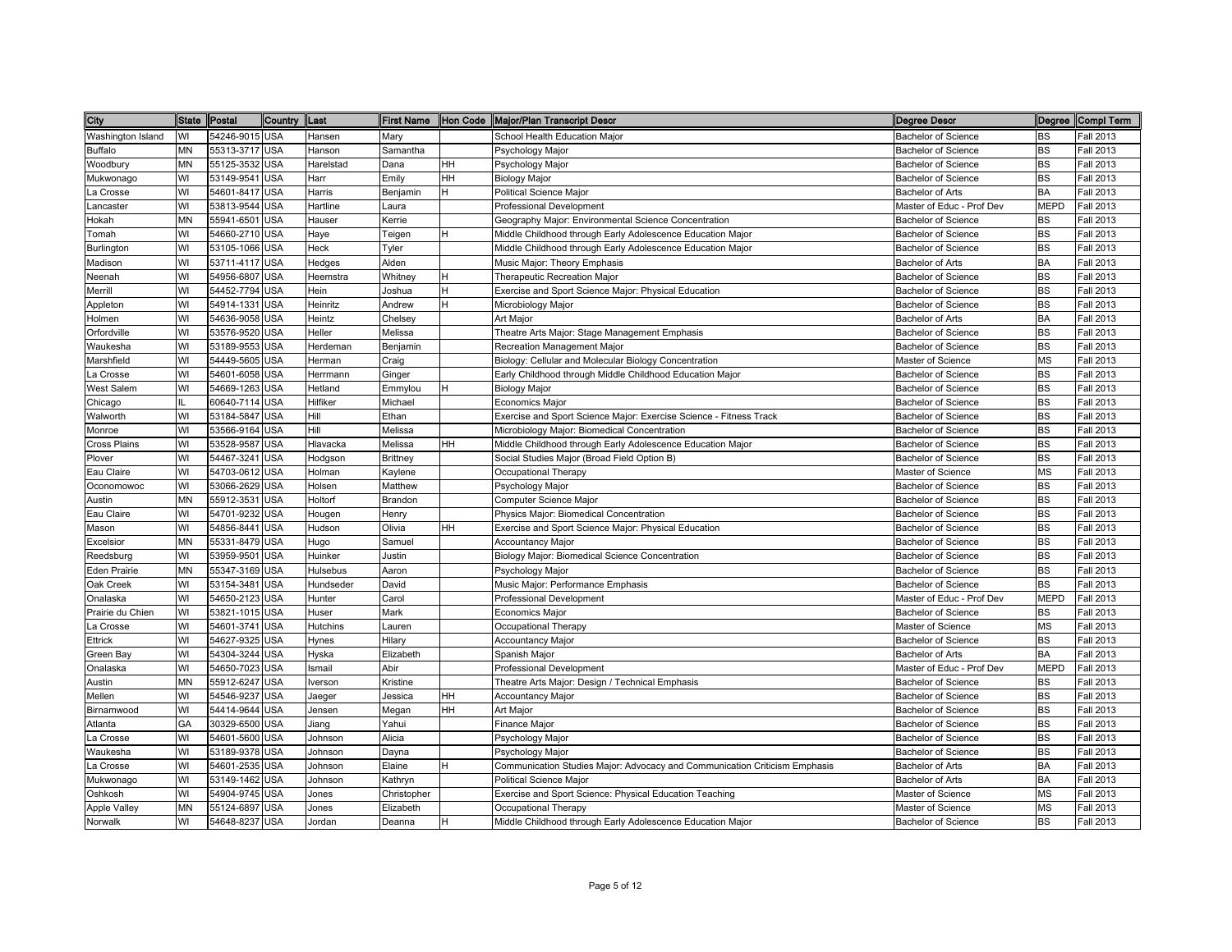| City              | State Postal |                | Country    | Last      |                 |    | First Name   Hon Code   Major/Plan Transcript Descr                        | Degree Descr               |             | Degree Compl Term |
|-------------------|--------------|----------------|------------|-----------|-----------------|----|----------------------------------------------------------------------------|----------------------------|-------------|-------------------|
| Washington Island | WI           | 54246-9015 USA |            | Hansen    | Mary            |    | School Health Education Major                                              | <b>Bachelor of Science</b> | <b>BS</b>   | <b>Fall 2013</b>  |
| Buffalo           | MΝ           | 55313-3717 USA |            | Hanson    | Samantha        |    | Psychology Major                                                           | <b>Bachelor of Science</b> | <b>BS</b>   | Fall 2013         |
| Woodbury          | ΜN           | 55125-3532 USA |            | Harelstad | Dana            | HH | Psychology Major                                                           | <b>Bachelor of Science</b> | <b>BS</b>   | <b>Fall 2013</b>  |
| Mukwonago         | WI           | 53149-9541     | <b>USA</b> | Harr      | Emily           | HH | Biology Major                                                              | Bachelor of Science        | BS          | Fall 2013         |
| La Crosse         | WI           | 54601-8417 USA |            | Harris    | Benjamin        |    | <b>Political Science Major</b>                                             | Bachelor of Arts           | <b>BA</b>   | Fall 2013         |
| _ancaster         | WI           | 53813-9544 USA |            | Hartline  | Laura           |    | <b>Professional Development</b>                                            | Master of Educ - Prof Dev  | <b>MEPD</b> | <b>Fall 2013</b>  |
| Hokah             | MN           | 55941-6501     | <b>USA</b> | Hauser    | Kerrie          |    | Geography Major: Environmental Science Concentration                       | <b>Bachelor of Science</b> | <b>BS</b>   | Fall 2013         |
| Tomah             | WI           | 54660-2710 USA |            | Haye      | Teigen          | н  | Middle Childhood through Early Adolescence Education Major                 | <b>Bachelor of Science</b> | <b>BS</b>   | <b>Fall 2013</b>  |
| Burlington        | WI           | 53105-1066 USA |            | Heck      | Tyler           |    | Middle Childhood through Early Adolescence Education Major                 | <b>Bachelor of Science</b> | <b>BS</b>   | <b>Fall 2013</b>  |
| Madison           | WI           | 53711-4117 USA |            | Hedges    | Alden           |    | Music Major: Theory Emphasis                                               | Bachelor of Arts           | <b>BA</b>   | Fall 2013         |
| Neenah            | WI           | 54956-6807 USA |            | Heemstra  | Whitney         | H  | Therapeutic Recreation Major                                               | <b>Bachelor of Science</b> | <b>BS</b>   | <b>Fall 2013</b>  |
| Merrill           | WI           | 54452-7794 USA |            | Hein      | Joshua          | H  | Exercise and Sport Science Major: Physical Education                       | <b>Bachelor of Science</b> | <b>BS</b>   | <b>Fall 2013</b>  |
| Appleton          | WI           | 54914-1331 USA |            | Heinritz  | Andrew          | н  | Microbiology Major                                                         | <b>Bachelor of Science</b> | <b>BS</b>   | <b>Fall 2013</b>  |
| Holmen            | WI           | 54636-9058 USA |            | Heintz    | Chelsey         |    | Art Major                                                                  | Bachelor of Arts           | <b>BA</b>   | <b>Fall 2013</b>  |
| Orfordville       | WI           | 53576-9520 USA |            | Heller    | Melissa         |    | Theatre Arts Major: Stage Management Emphasis                              | <b>Bachelor of Science</b> | <b>BS</b>   | <b>Fall 2013</b>  |
| Waukesha          | WI           | 53189-9553 USA |            | Herdeman  | Benjamin        |    | Recreation Management Major                                                | <b>Bachelor of Science</b> | <b>BS</b>   | Fall 2013         |
| Marshfield        | WI           | 54449-5605 USA |            | Herman    | Craig           |    | Biology: Cellular and Molecular Biology Concentration                      | Master of Science          | <b>MS</b>   | Fall 2013         |
| La Crosse         | WI           | 54601-6058 USA |            | Herrmann  | Ginger          |    | Early Childhood through Middle Childhood Education Major                   | Bachelor of Science        | <b>BS</b>   | <b>Fall 2013</b>  |
| <b>West Salem</b> | WI           | 54669-1263 USA |            | Hetland   | Emmylou         | H  | <b>Biology Major</b>                                                       | <b>Bachelor of Science</b> | <b>BS</b>   | <b>Fall 2013</b>  |
| Chicago           | IL           | 60640-7114 USA |            | Hilfiker  | Michael         |    | <b>Economics Major</b>                                                     | <b>Bachelor of Science</b> | <b>BS</b>   | <b>Fall 2013</b>  |
| Walworth          | WI           | 53184-5847 USA |            | Hill      | Ethan           |    | Exercise and Sport Science Major: Exercise Science - Fitness Track         | <b>Bachelor of Science</b> | <b>BS</b>   | <b>Fall 2013</b>  |
| Monroe            | WI           | 53566-9164 USA |            | Hill      | Melissa         |    | Microbiology Major: Biomedical Concentration                               | <b>Bachelor of Science</b> | <b>BS</b>   | Fall 2013         |
| Cross Plains      | WI           | 53528-9587 USA |            | Hlavacka  | Melissa         | HH | Middle Childhood through Early Adolescence Education Major                 | <b>Bachelor of Science</b> | <b>BS</b>   | Fall 2013         |
| Plover            | WI           | 54467-3241 USA |            | Hodgson   | <b>Brittney</b> |    | Social Studies Major (Broad Field Option B)                                | <b>Bachelor of Science</b> | <b>BS</b>   | <b>Fall 2013</b>  |
| Eau Claire        | WI           | 54703-0612 USA |            | Holman    | Kaylene         |    | Occupational Therapy                                                       | Master of Science          | <b>MS</b>   | <b>Fall 2013</b>  |
| Oconomowoc        | WI           | 53066-2629 USA |            | Holsen    | Matthew         |    | Psychology Major                                                           | Bachelor of Science        | <b>BS</b>   | <b>Fall 2013</b>  |
| Austin            | MN           | 55912-3531     | <b>USA</b> | Holtorf   | Brandon         |    | Computer Science Major                                                     | Bachelor of Science        | <b>BS</b>   | Fall 2013         |
| Eau Claire        | WI           | 54701-9232 USA |            | Hougen    | Henry           |    | Physics Major: Biomedical Concentration                                    | <b>Bachelor of Science</b> | <b>BS</b>   | Fall 2013         |
| Mason             | WI           | 54856-8441     | <b>USA</b> | Hudson    | Olivia          | HH | Exercise and Sport Science Major: Physical Education                       | <b>Bachelor of Science</b> | <b>BS</b>   | Fall 2013         |
| Excelsior         | MN           | 55331-8479 USA |            | Hugo      | Samuel          |    | <b>Accountancy Major</b>                                                   | <b>Bachelor of Science</b> | <b>BS</b>   | <b>Fall 2013</b>  |
| Reedsburg         | WI           | 53959-9501     | <b>USA</b> | Huinker   | Justin          |    | Biology Major: Biomedical Science Concentration                            | <b>Bachelor of Science</b> | <b>BS</b>   | <b>Fall 2013</b>  |
| Eden Prairie      | MN           | 55347-3169 USA |            | Hulsebus  | Aaron           |    | Psychology Major                                                           | <b>Bachelor of Science</b> | <b>BS</b>   | <b>Fall 2013</b>  |
| Oak Creek         | WI           | 53154-3481     | <b>USA</b> | Hundseder | David           |    | Music Major: Performance Emphasis                                          | <b>Bachelor of Science</b> | <b>BS</b>   | <b>Fall 2013</b>  |
| Onalaska          | WI           | 54650-2123 USA |            | Hunter    | Carol           |    | <b>Professional Development</b>                                            | Master of Educ - Prof Dev  | <b>MEPD</b> | <b>Fall 2013</b>  |
| Prairie du Chien  | WI           | 53821-1015 USA |            | Huser     | Mark            |    | <b>Economics Major</b>                                                     | <b>Bachelor of Science</b> | BS          | Fall 2013         |
| a Crosse          | WI           | 54601-3741 USA |            | Hutchins  | Lauren          |    | Occupational Therapy                                                       | Master of Science          | <b>MS</b>   | <b>Fall 2013</b>  |
| Ettrick           | WI           | 54627-9325 USA |            | Hynes     | Hilary          |    | <b>Accountancy Major</b>                                                   | <b>Bachelor of Science</b> | <b>BS</b>   | <b>Fall 2013</b>  |
| Green Bay         | WI           | 54304-3244 USA |            | Hyska     | Elizabeth       |    | Spanish Major                                                              | Bachelor of Arts           | <b>BA</b>   | <b>Fall 2013</b>  |
| Onalaska          | WI           | 54650-7023 USA |            | Ismail    | Abir            |    | Professional Development                                                   | Master of Educ - Prof Dev  | <b>MEPD</b> | <b>Fall 2013</b>  |
| Austin            | MN           | 55912-6247 USA |            | lverson   | Kristine        |    | Theatre Arts Major: Design / Technical Emphasis                            | <b>Bachelor of Science</b> | <b>BS</b>   | Fall 2013         |
| Mellen            | WI           | 54546-9237     | <b>USA</b> | Jaeger    | Jessica         | HH | Accountancy Major                                                          | <b>Bachelor of Science</b> | <b>BS</b>   | Fall 2013         |
| Birnamwood        | WI           | 54414-9644 USA |            | Jensen    | Megan           | HH | Art Major                                                                  | <b>Bachelor of Science</b> | <b>BS</b>   | <b>Fall 2013</b>  |
| Atlanta           | GA           | 30329-6500 USA |            | Jiang     | Yahui           |    | Finance Major                                                              | <b>Bachelor of Science</b> | <b>BS</b>   | <b>Fall 2013</b>  |
| La Crosse         | WI           | 54601-5600 USA |            | Johnson   | Alicia          |    | Psychology Major                                                           | <b>Bachelor of Science</b> | <b>BS</b>   | <b>Fall 2013</b>  |
| Waukesha          | WI           | 53189-9378 USA |            | Johnson   | Dayna           |    | Psychology Major                                                           | Bachelor of Science        | <b>BS</b>   | Fall 2013         |
| La Crosse         | WI           | 54601-2535 USA |            | Johnson   | Elaine          | н  | Communication Studies Major: Advocacy and Communication Criticism Emphasis | Bachelor of Arts           | <b>BA</b>   | Fall 2013         |
| Mukwonago         | WI           | 53149-1462 USA |            | Johnson   | Kathryn         |    | Political Science Major                                                    | Bachelor of Arts           | <b>BA</b>   | <b>Fall 2013</b>  |
| Oshkosh           | WI           | 54904-9745 USA |            | Jones     | Christopher     |    | Exercise and Sport Science: Physical Education Teaching                    | Master of Science          | MS          | <b>Fall 2013</b>  |
| Apple Valley      | MΝ           | 55124-6897 USA |            | Jones     | Elizabeth       |    | Occupational Therapy                                                       | Master of Science          | <b>MS</b>   | <b>Fall 2013</b>  |
| Norwalk           | WI           | 54648-8237 USA |            | Jordan    | Deanna          | H  | Middle Childhood through Early Adolescence Education Major                 | <b>Bachelor of Science</b> | <b>BS</b>   | <b>Fall 2013</b>  |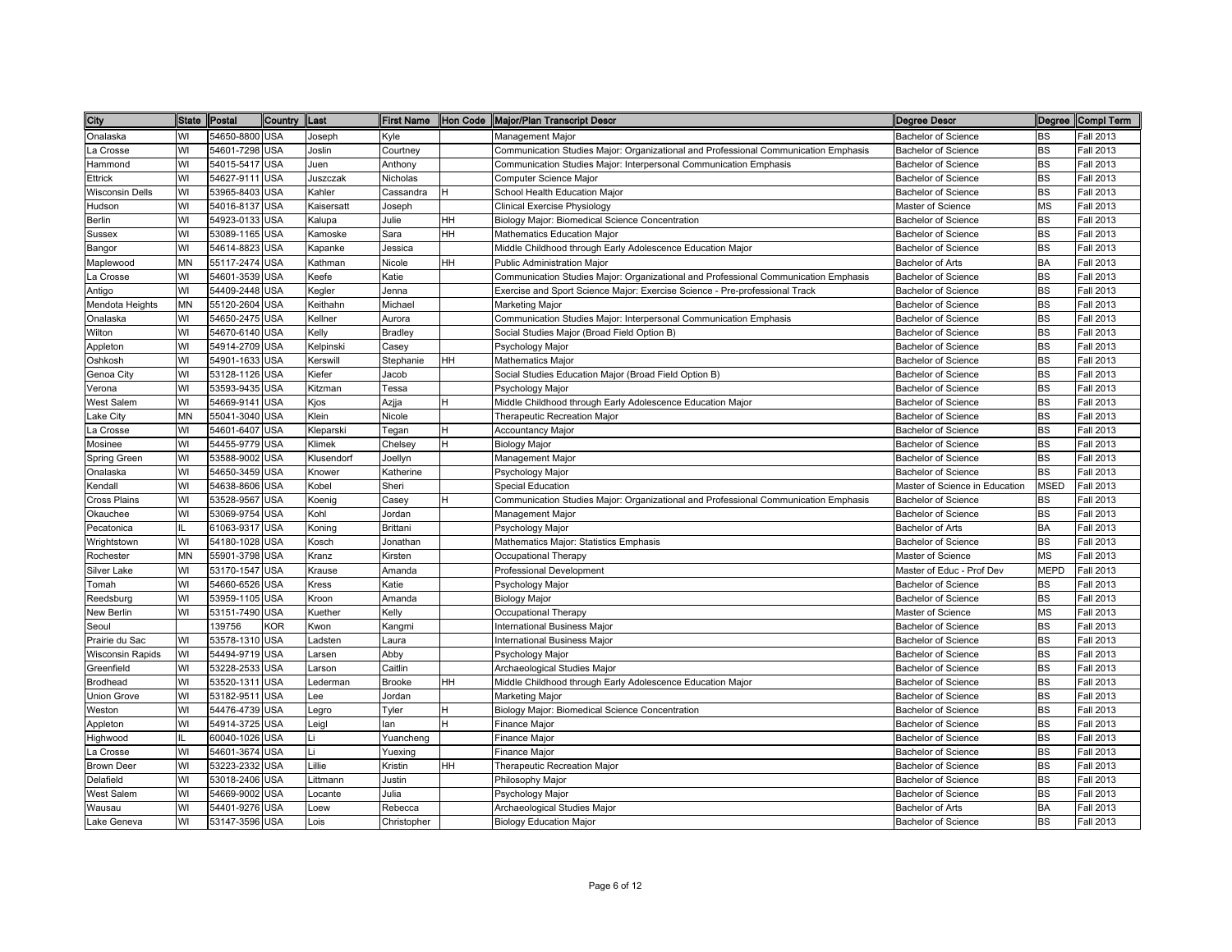| City                    |           | State Postal   | Country    | Last       |                 |    | First Name  Hon Code  Major/Plan Transcript Descr                                   | <b>Degree Descr</b>            |             | Degree Compl Term |
|-------------------------|-----------|----------------|------------|------------|-----------------|----|-------------------------------------------------------------------------------------|--------------------------------|-------------|-------------------|
| Onalaska                | WI        | 54650-8800 USA |            | Joseph     | Kyle            |    | Management Major                                                                    | Bachelor of Science            | <b>BS</b>   | Fall 2013         |
| La Crosse               | WI        | 54601-7298 USA |            | Joslin     | Courtney        |    | Communication Studies Major: Organizational and Professional Communication Emphasis | <b>Bachelor of Science</b>     | BS          | Fall 2013         |
| Hammond                 | WI        | 54015-5417 USA |            | Juen       | Anthony         |    | Communication Studies Major: Interpersonal Communication Emphasis                   | <b>Bachelor of Science</b>     | <b>BS</b>   | Fall 2013         |
| Ettrick                 | WI        | 54627-9111     | <b>USA</b> | Juszczak   | Nicholas        |    | Computer Science Major                                                              | <b>Bachelor of Science</b>     | <b>BS</b>   | Fall 2013         |
| <b>Wisconsin Dells</b>  | WI        | 53965-8403     | <b>USA</b> | Kahler     | Cassandra       |    | School Health Education Major                                                       | <b>Bachelor of Science</b>     | <b>BS</b>   | Fall 2013         |
| Hudson                  | WI        | 54016-8137     | <b>USA</b> | Kaisersatt | Joseph          |    | Clinical Exercise Physiology                                                        | Master of Science              | <b>MS</b>   | <b>Fall 2013</b>  |
| Berlin                  | WI        | 54923-0133     | <b>USA</b> | Kalupa     | Julie           | HH | Biology Major: Biomedical Science Concentration                                     | <b>Bachelor of Science</b>     | <b>BS</b>   | <b>Fall 2013</b>  |
| Sussex                  | WI        | 53089-1165     | <b>USA</b> | Kamoske    | Sara            | HH | Mathematics Education Major                                                         | <b>Bachelor of Science</b>     | <b>BS</b>   | Fall 2013         |
| Bangor                  | WI        | 54614-8823     | <b>USA</b> | Kapanke    | Jessica         |    | Middle Childhood through Early Adolescence Education Major                          | <b>Bachelor of Science</b>     | <b>BS</b>   | Fall 2013         |
| Maplewood               | <b>MN</b> | 55117-2474     | <b>USA</b> | Kathman    | Nicole          | HH | <b>Public Administration Major</b>                                                  | Bachelor of Arts               | <b>BA</b>   | Fall 2013         |
| La Crosse               | WI        | 54601-3539     | <b>USA</b> | Keefe      | Katie           |    | Communication Studies Major: Organizational and Professional Communication Emphasis | <b>Bachelor of Science</b>     | <b>BS</b>   | Fall 2013         |
| Antigo                  | WI        | 54409-2448 USA |            | Kegler     | Jenna           |    | Exercise and Sport Science Major: Exercise Science - Pre-professional Track         | <b>Bachelor of Science</b>     | <b>BS</b>   | Fall 2013         |
| Mendota Heights         | MN        | 55120-2604     | <b>USA</b> | Keithahn   | Michael         |    | Marketing Major                                                                     | Bachelor of Science            | <b>BS</b>   | Fall 2013         |
| Onalaska                | WI        | 54650-2475 USA |            | Kellner    | Aurora          |    | Communication Studies Major: Interpersonal Communication Emphasis                   | Bachelor of Science            | <b>BS</b>   | Fall 2013         |
| Wilton                  | WI        | 54670-6140 USA |            | Kelly      | <b>Bradley</b>  |    | Social Studies Major (Broad Field Option B)                                         | <b>Bachelor of Science</b>     | <b>BS</b>   | Fall 2013         |
| Appleton                | WI        | 54914-2709     | <b>USA</b> | Kelpinski  | Casey           |    | Psychology Major                                                                    | <b>Bachelor of Science</b>     | <b>BS</b>   | Fall 2013         |
| Oshkosh                 | WI        | 54901-1633     | <b>USA</b> | Kerswill   | Stephanie       | HH | Mathematics Major                                                                   | <b>Bachelor of Science</b>     | <b>BS</b>   | Fall 2013         |
| Genoa City              | WI        | 53128-1126     | <b>USA</b> | Kiefer     | Jacob           |    | Social Studies Education Major (Broad Field Option B)                               | <b>Bachelor of Science</b>     | <b>BS</b>   | Fall 2013         |
| Verona                  | WI        | 53593-9435     | <b>USA</b> | Kitzman    | Tessa           |    | Psychology Major                                                                    | <b>Bachelor of Science</b>     | <b>BS</b>   | Fall 2013         |
| West Salem              | WI        | 54669-9141     | <b>USA</b> | Kjos       | Azjja           |    | Middle Childhood through Early Adolescence Education Major                          | <b>Bachelor of Science</b>     | <b>BS</b>   | Fall 2013         |
| Lake City               | <b>MN</b> | 55041-3040 USA |            | Klein      | Nicole          |    | Therapeutic Recreation Major                                                        | <b>Bachelor of Science</b>     | <b>BS</b>   | Fall 2013         |
| La Crosse               | WI        | 54601-6407     | <b>USA</b> | Kleparski  | Tegan           | н  | <b>Accountancy Major</b>                                                            | <b>Bachelor of Science</b>     | <b>BS</b>   | Fall 2013         |
| Mosinee                 | WI        | 54455-9779 USA |            | Klimek     | Chelsey         | н  | <b>Biology Major</b>                                                                | <b>Bachelor of Science</b>     | <b>BS</b>   | Fall 2013         |
| Spring Green            | WI        | 53588-9002     | <b>USA</b> | Klusendorf | Joellyn         |    | Management Major                                                                    | Bachelor of Science            | <b>BS</b>   | <b>Fall 2013</b>  |
| Onalaska                | WI        | 54650-3459 USA |            | Knower     | Katherine       |    | Psychology Major                                                                    | Bachelor of Science            | <b>BS</b>   | Fall 2013         |
| Kendall                 | WI        | 54638-8606     | <b>USA</b> | Kobel      | Sheri           |    | <b>Special Education</b>                                                            | Master of Science in Education | <b>MSED</b> | Fall 2013         |
| <b>Cross Plains</b>     | WI        | 53528-9567     | <b>USA</b> | Koenig     | Casey           |    | Communication Studies Major: Organizational and Professional Communication Emphasis | <b>Bachelor of Science</b>     | <b>BS</b>   | Fall 2013         |
| Okauchee                | WI        | 53069-9754     | <b>USA</b> | Kohl       | Jordan          |    | Management Major                                                                    | Bachelor of Science            | <b>BS</b>   | Fall 2013         |
| Pecatonica              |           | 61063-931      | <b>USA</b> | Koning     | <b>Brittani</b> |    | Psychology Major                                                                    | Bachelor of Arts               | <b>BA</b>   | Fall 2013         |
| Wrightstown             | WI        | 54180-1028     | <b>USA</b> | Kosch      | Jonathan        |    | Mathematics Major: Statistics Emphasis                                              | <b>Bachelor of Science</b>     | <b>BS</b>   | Fall 2013         |
| Rochester               | <b>MN</b> | 55901-3798     | <b>USA</b> | Kranz      | Kirsten         |    | Occupational Therapy                                                                | Master of Science              | <b>MS</b>   | Fall 2013         |
| Silver Lake             | WI        | 53170-1547     | <b>USA</b> | Krause     | Amanda          |    | Professional Development                                                            | Master of Educ - Prof Dev      | <b>MEPD</b> | <b>Fall 2013</b>  |
| Tomah                   | WI        | 54660-6526     | <b>USA</b> | Kress      | Katie           |    | Psychology Major                                                                    | <b>Bachelor of Science</b>     | <b>BS</b>   | Fall 2013         |
| Reedsburg               | WI        | 53959-1105 USA |            | Kroon      | Amanda          |    | <b>Biology Major</b>                                                                | <b>Bachelor of Science</b>     | <b>BS</b>   | Fall 2013         |
| New Berlin              | WI        | 53151-7490     | <b>USA</b> | Kuether    | Kelly           |    | Occupational Therapy                                                                | Master of Science              | <b>MS</b>   | Fall 2013         |
| Seoul                   |           | 139756         | KOR        | Kwon       | Kangmi          |    | nternational Business Major                                                         | <b>Bachelor of Science</b>     | <b>BS</b>   | Fall 2013         |
| Prairie du Sac          | WI        | 53578-1310 USA |            | Ladsten    | Laura           |    | nternational Business Major                                                         | <b>Bachelor of Science</b>     | <b>BS</b>   | Fall 2013         |
| <b>Wisconsin Rapids</b> | WI        | 54494-9719 USA |            | Larsen     | Abby            |    | Psychology Major                                                                    | Bachelor of Science            | <b>BS</b>   | Fall 2013         |
| Greenfield              | WI        | 53228-2533     | <b>USA</b> | Larson     | Caitlin         |    | Archaeological Studies Major                                                        | Bachelor of Science            | <b>BS</b>   | Fall 2013         |
| Brodhead                | WI        | 53520-1311     | <b>USA</b> | Lederman   | <b>Brooke</b>   | HН | Middle Childhood through Early Adolescence Education Major                          | <b>Bachelor of Science</b>     | <b>BS</b>   | Fall 2013         |
| Union Grove             | WI        | 53182-951      | <b>USA</b> | Lee        | Jordan          |    | Marketing Major                                                                     | <b>Bachelor of Science</b>     | <b>BS</b>   | Fall 2013         |
| Weston                  | WI        | 54476-4739     | <b>USA</b> | Legro      | Tyler           |    | Biology Major: Biomedical Science Concentration                                     | <b>Bachelor of Science</b>     | <b>BS</b>   | Fall 2013         |
| Appleton                | WI        | 54914-3725     | <b>USA</b> | Leigl      | lan             | н  | Finance Major                                                                       | <b>Bachelor of Science</b>     | <b>BS</b>   | Fall 2013         |
| Highwood                | IL        | 60040-1026     | <b>USA</b> | Li         | Yuancheng       |    | Finance Major                                                                       | <b>Bachelor of Science</b>     | <b>BS</b>   | Fall 2013         |
| La Crosse               | WI        | 54601-3674     | <b>USA</b> | Li         | Yuexing         |    | Finance Major                                                                       | <b>Bachelor of Science</b>     | <b>BS</b>   | Fall 2013         |
| <b>Brown Deer</b>       | WI        | 53223-2332     | <b>USA</b> | Lillie     | Kristin         | HH | Therapeutic Recreation Major                                                        | <b>Bachelor of Science</b>     | <b>BS</b>   | Fall 2013         |
| Delafield               | WI        | 53018-2406 USA |            | Littmann   | Justin          |    | Philosophy Major                                                                    | <b>Bachelor of Science</b>     | <b>BS</b>   | Fall 2013         |
| West Salem              | WI        | 54669-9002     | <b>USA</b> | Locante    | Julia           |    | Psychology Major                                                                    | Bachelor of Science            | BS          | Fall 2013         |
| Wausau                  | WI        | 54401-9276 USA |            | Loew       | Rebecca         |    | Archaeological Studies Major                                                        | Bachelor of Arts               | BA          | Fall 2013         |
| Lake Geneva             | WI        | 53147-3596 USA |            | Lois       | Christopher     |    | <b>Biology Education Major</b>                                                      | <b>Bachelor of Science</b>     | <b>BS</b>   | <b>Fall 2013</b>  |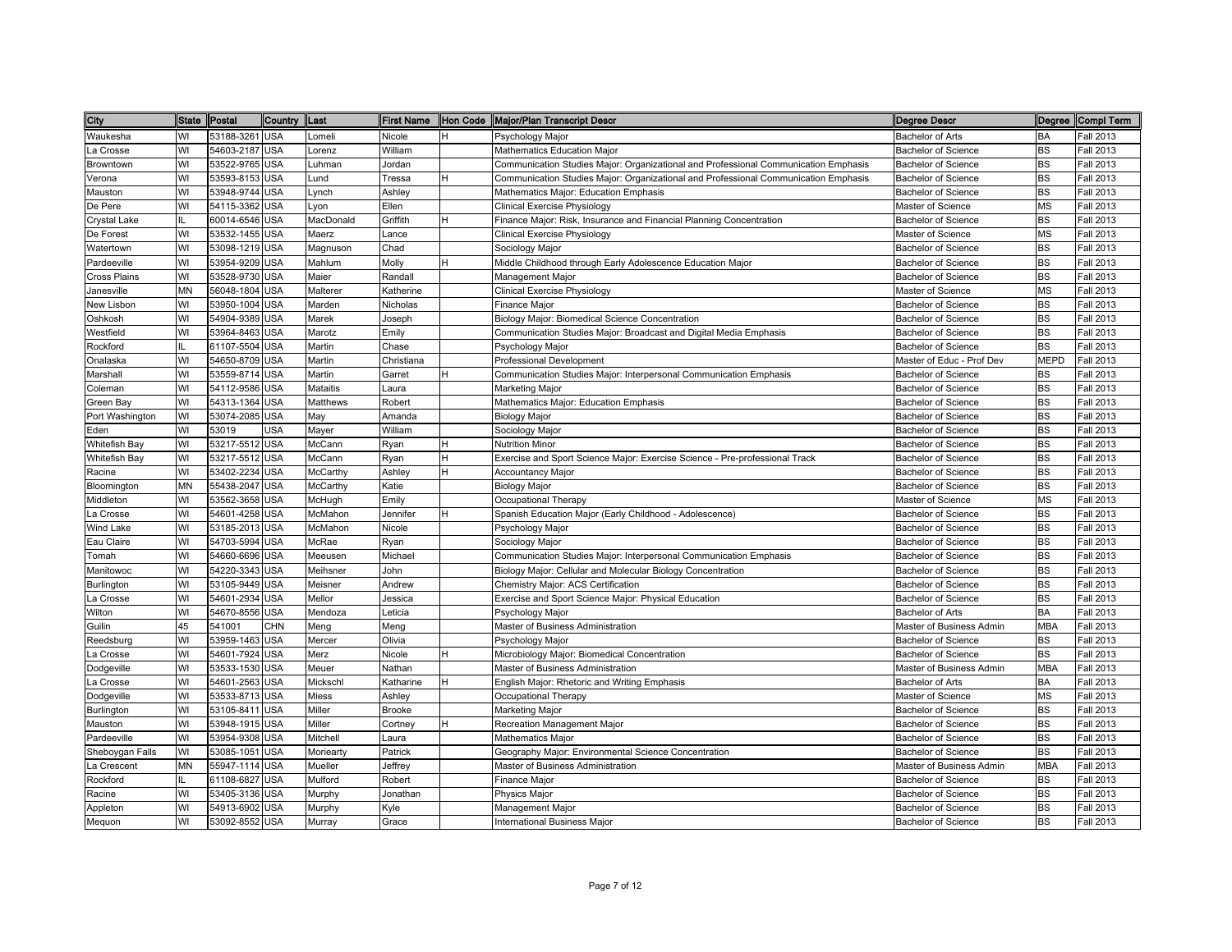| City            | State Postal |                | Country Last |                 |               |   | First Name  Hon Code  Major/Plan Transcript Descr                                   | <b>Degree Descr</b>        |             | Degree Compl Term |
|-----------------|--------------|----------------|--------------|-----------------|---------------|---|-------------------------------------------------------------------------------------|----------------------------|-------------|-------------------|
| Waukesha        | WI           | 53188-3261 USA |              | Lomeli          | Nicole        | H | Psychology Major                                                                    | <b>Bachelor of Arts</b>    | BA          | <b>Fall 2013</b>  |
| La Crosse       | WI           | 54603-2187 USA |              | Lorenz          | William       |   | Mathematics Education Major                                                         | Bachelor of Science        | BS          | Fall 2013         |
| Browntown       | WI           | 53522-9765 USA |              | Luhman          | Jordan        |   | Communication Studies Major: Organizational and Professional Communication Emphasis | <b>Bachelor of Science</b> | <b>BS</b>   | Fall 2013         |
| /erona          | WI           | 53593-8153 USA |              | und-            | Tressa        | H | Communication Studies Major: Organizational and Professional Communication Emphasis | <b>Bachelor of Science</b> | <b>BS</b>   | Fall 2013         |
| Mauston         | WI           | 53948-9744 USA |              | _ynch           | Ashley        |   | Mathematics Major: Education Emphasis                                               | <b>Bachelor of Science</b> | <b>BS</b>   | Fall 2013         |
| De Pere         | WI           | 54115-3362 USA |              | Lyon            | Ellen         |   | Clinical Exercise Physiology                                                        | Master of Science          | <b>MS</b>   | Fall 2013         |
| Crystal Lake    | IL           | 60014-6546 USA |              | MacDonald       | Griffith      | H | Finance Major: Risk, Insurance and Financial Planning Concentration                 | <b>Bachelor of Science</b> | <b>BS</b>   | <b>Fall 2013</b>  |
| De Forest       | WI           | 53532-1455 USA |              | Maerz           | Lance         |   | <b>Clinical Exercise Physiology</b>                                                 | Master of Science          | <b>MS</b>   | Fall 2013         |
| Watertown       | WI           | 53098-1219 USA |              | Magnuson        | Chad          |   | Sociology Major                                                                     | <b>Bachelor of Science</b> | <b>BS</b>   | Fall 2013         |
| Pardeeville     | WI           | 53954-9209 USA |              | Mahlum          | Molly         | H | Middle Childhood through Early Adolescence Education Major                          | Bachelor of Science        | <b>BS</b>   | Fall 2013         |
| Cross Plains    | WI           | 53528-9730 USA |              | Maier           | Randall       |   | Management Major                                                                    | Bachelor of Science        | <b>BS</b>   | Fall 2013         |
| Janesville      | MN           | 56048-1804 USA |              | Malterer        | Katherine     |   | <b>Clinical Exercise Physiology</b>                                                 | Master of Science          | <b>MS</b>   | <b>Fall 2013</b>  |
| New Lisbon      | WI           | 53950-1004 USA |              | Marden          | Nicholas      |   | Finance Major                                                                       | <b>Bachelor of Science</b> | <b>BS</b>   | Fall 2013         |
| Oshkosh         | WI           | 54904-9389 USA |              | Marek           | Joseph        |   | Biology Major: Biomedical Science Concentration                                     | Bachelor of Science        | <b>BS</b>   | Fall 2013         |
| Nestfield       | WI           | 53964-8463 USA |              | Marotz          | Emily         |   | Communication Studies Major: Broadcast and Digital Media Emphasis                   | Bachelor of Science        | <b>BS</b>   | Fall 2013         |
| Rockford        |              | 61107-5504 USA |              | Martin          | Chase         |   | Psychology Major                                                                    | <b>Bachelor of Science</b> | <b>BS</b>   | Fall 2013         |
| Onalaska        | WI           | 54650-8709 USA |              | Martin          | Christiana    |   | <b>Professional Development</b>                                                     | Master of Educ - Prof Dev  | <b>MEPD</b> | Fall 2013         |
| Marshall        | WI           | 53559-8714 USA |              | Martin          | Garret        | H | Communication Studies Major: Interpersonal Communication Emphasis                   | <b>Bachelor of Science</b> | <b>BS</b>   | Fall 2013         |
| Coleman         | WI           | 54112-9586 USA |              | <b>Mataitis</b> | Laura         |   | <b>Marketing Major</b>                                                              | <b>Bachelor of Science</b> | <b>BS</b>   | Fall 2013         |
| Green Bay       | WI           | 54313-1364 USA |              | Matthews        | Robert        |   | Mathematics Major: Education Emphasis                                               | Bachelor of Science        | <b>BS</b>   | Fall 2013         |
| Port Washington | WI           | 53074-2085 USA |              | May             | Amanda        |   | <b>Biology Major</b>                                                                | Bachelor of Science        | <b>BS</b>   | Fall 2013         |
| Eden            | WI           | 53019          | <b>USA</b>   | Mayer           | William       |   | Sociology Major                                                                     | <b>Bachelor of Science</b> | <b>BS</b>   | Fall 2013         |
| Whitefish Bay   | WI           | 53217-5512 USA |              | McCann          | Ryan          | H | <b>Nutrition Minor</b>                                                              | <b>Bachelor of Science</b> | <b>BS</b>   | Fall 2013         |
| Whitefish Bay   | WI           | 53217-5512 USA |              | McCann          | Ryan          | H | Exercise and Sport Science Major: Exercise Science - Pre-professional Track         | Bachelor of Science        | <b>BS</b>   | Fall 2013         |
| Racine          | WI           | 53402-2234 USA |              | McCarthy        | Ashley        | н | <b>Accountancy Major</b>                                                            | Bachelor of Science        | <b>BS</b>   | Fall 2013         |
| Bloomington     | ΜN           | 55438-2047 USA |              | McCarthy        | Katie         |   | <b>Biology Major</b>                                                                | <b>Bachelor of Science</b> | <b>BS</b>   | Fall 2013         |
| Middleton       | WI           | 53562-3658 USA |              | McHugh          | Emily         |   | Occupational Therapy                                                                | Master of Science          | <b>MS</b>   | Fall 2013         |
| a Crosse        | WI           | 54601-4258 USA |              | McMahon         | Jennifer      | H | Spanish Education Major (Early Childhood - Adolescence)                             | <b>Bachelor of Science</b> | <b>BS</b>   | Fall 2013         |
| Wind Lake       | WI           | 53185-2013 USA |              | McMahon         | Nicole        |   | Psychology Major                                                                    | <b>Bachelor of Science</b> | <b>BS</b>   | Fall 2013         |
| Eau Claire      | WI           | 54703-5994 USA |              | McRae           | Ryan          |   | Sociology Major                                                                     | Bachelor of Science        | <b>BS</b>   | Fall 2013         |
| Tomah           | WI           | 54660-6696 USA |              | Meeusen         | Michael       |   | Communication Studies Major: Interpersonal Communication Emphasis                   | <b>Bachelor of Science</b> | <b>BS</b>   | Fall 2013         |
| Manitowoc       | WI           | 54220-3343 USA |              | Meihsner        | John          |   | Biology Major: Cellular and Molecular Biology Concentration                         | <b>Bachelor of Science</b> | <b>BS</b>   | Fall 2013         |
| Burlington      | WI           | 53105-9449 USA |              | Meisner         | Andrew        |   | Chemistry Major: ACS Certification                                                  | Bachelor of Science        | <b>BS</b>   | Fall 2013         |
| La Crosse       | WI           | 54601-2934 USA |              | Mellor          | Jessica       |   | Exercise and Sport Science Major: Physical Education                                | Bachelor of Science        | <b>BS</b>   | Fall 2013         |
| Wilton          | WI           | 54670-8556 USA |              | Mendoza         | Leticia       |   | Psychology Major                                                                    | Bachelor of Arts           | BA          | <b>Fall 2013</b>  |
| <b>Guilin</b>   | 45           | 541001         | <b>CHN</b>   | Meng            | Meng          |   | Master of Business Administration                                                   | Master of Business Admin   | <b>MBA</b>  | <b>Fall 2013</b>  |
| Reedsburg       | WI           | 53959-1463 USA |              | Mercer          | Olivia        |   | Psychology Major                                                                    | <b>Bachelor of Science</b> | BS          | Fall 2013         |
| a Crosse        | WI           | 54601-7924 USA |              | Merz            | Nicole        | н | Microbiology Major: Biomedical Concentration                                        | <b>Bachelor of Science</b> | <b>BS</b>   | Fall 2013         |
| Dodgeville      | WI           | 53533-1530 USA |              | Meuer           | Vathan        |   | Master of Business Administration                                                   | Master of Business Admin   | <b>MBA</b>  | Fall 2013         |
| a Crosse        | WI           | 54601-2563 USA |              | Mickschl        | Katharine     | H | English Major: Rhetoric and Writing Emphasis                                        | <b>Bachelor of Arts</b>    | <b>BA</b>   | Fall 2013         |
| Dodgeville      | WI           | 53533-8713 USA |              | Miess           | Ashley        |   | Occupational Therapy                                                                | Master of Science          | <b>MS</b>   | Fall 2013         |
| Burlington      | WI           | 53105-8411     | <b>USA</b>   | Miller          | <b>Brooke</b> |   | <b>Marketing Major</b>                                                              | <b>Bachelor of Science</b> | <b>BS</b>   | Fall 2013         |
| Mauston         | WI           | 53948-1915 USA |              | Miller          | Cortney       | H | Recreation Management Major                                                         | Bachelor of Science        | <b>BS</b>   | Fall 2013         |
| Pardeeville     | WI           | 53954-9308 USA |              | Mitchell        | Laura         |   | <b>Mathematics Major</b>                                                            | <b>Bachelor of Science</b> | <b>BS</b>   | Fall 2013         |
| Sheboygan Falls | WI           | 53085-1051 USA |              | Moriearty       | Patrick       |   | Geography Major: Environmental Science Concentration                                | Bachelor of Science        | <b>BS</b>   | Fall 2013         |
| La Crescent     | ΜN           | 55947-1114 USA |              | Mueller         | Jeffrey       |   | Master of Business Administration                                                   | Master of Business Admin   | <b>MBA</b>  | Fall 2013         |
| Rockford        | IL.          | 61108-6827 USA |              | Mulford         | Robert        |   | Finance Major                                                                       | Bachelor of Science        | <b>BS</b>   | Fall 2013         |
| Racine          | WI           | 53405-3136 USA |              | Murphy          | Jonathan      |   | Physics Major                                                                       | <b>Bachelor of Science</b> | <b>BS</b>   | Fall 2013         |
| Appleton        | WI           | 54913-6902 USA |              | Murphy          | Kyle          |   | Management Major                                                                    | Bachelor of Science        | <b>BS</b>   | Fall 2013         |
|                 | WI           | 53092-8552 USA |              | Murray          | Grace         |   | <b>International Business Major</b>                                                 | <b>Bachelor of Science</b> | <b>BS</b>   | Fall 2013         |
| Mequon          |              |                |              |                 |               |   |                                                                                     |                            |             |                   |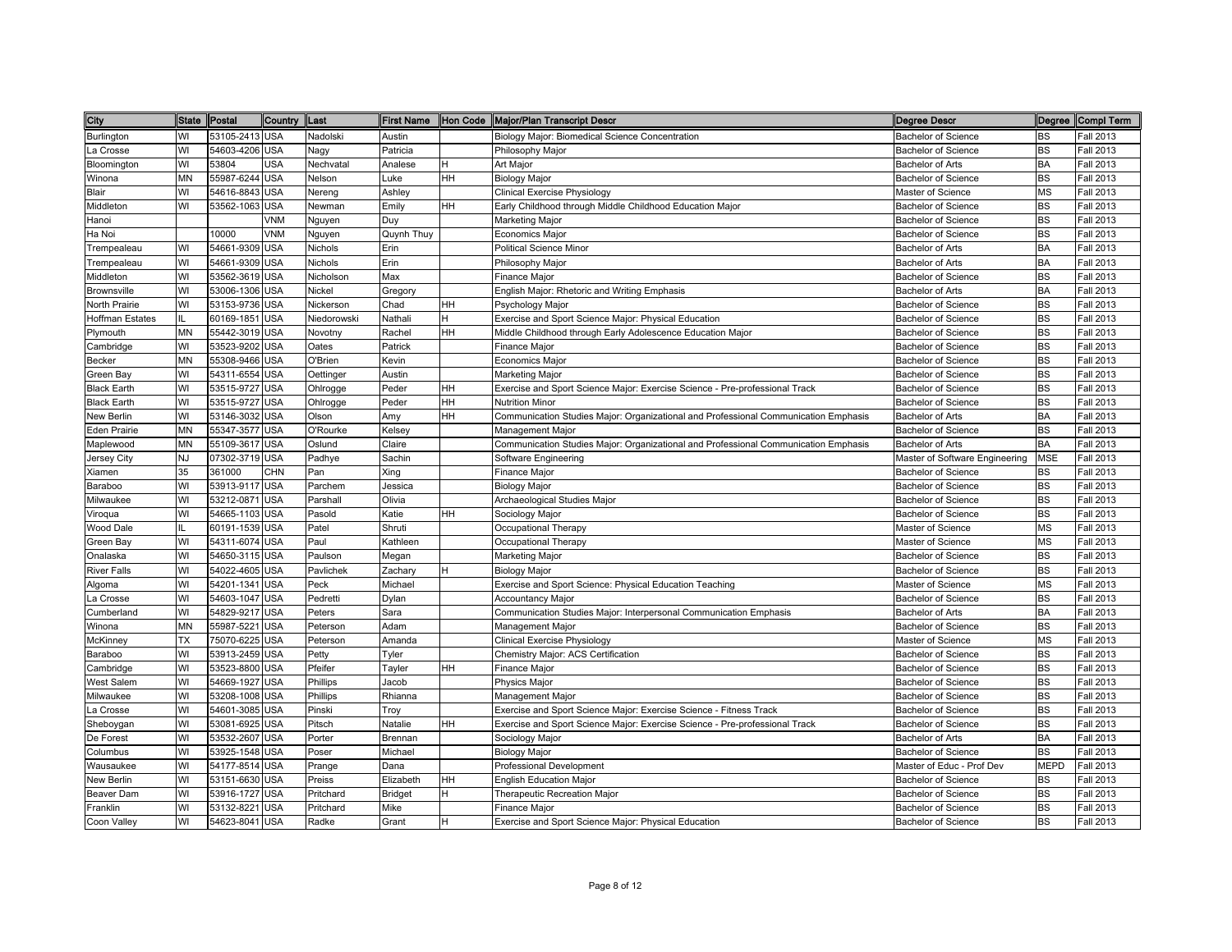| City                | State Postal |                | Country  Last |             |            |           | First Name Hon Code Major/Plan Transcript Descr                                     | <b>Degree Descr</b>            |             | Degree Compl Term |
|---------------------|--------------|----------------|---------------|-------------|------------|-----------|-------------------------------------------------------------------------------------|--------------------------------|-------------|-------------------|
| Burlington          | WI           | 53105-2413 USA |               | Nadolski    | Austin     |           | Biology Major: Biomedical Science Concentration                                     | <b>Bachelor of Science</b>     | <b>BS</b>   | <b>Fall 2013</b>  |
| La Crosse           | WI           | 54603-4206 USA |               | Nagy        | Patricia   |           | Philosophy Major                                                                    | Bachelor of Science            | <b>BS</b>   | <b>Fall 2013</b>  |
| Bloomington         | WI           | 53804          | <b>USA</b>    | Nechvatal   | Analese    | Н         | Art Major                                                                           | <b>Bachelor of Arts</b>        | BA          | Fall 2013         |
| Winona              | ΜN           | 55987-6244 USA |               | Nelson      | Luke       | HH        | <b>Biology Major</b>                                                                | <b>Bachelor of Science</b>     | <b>BS</b>   | Fall 2013         |
| Blair               | WI           | 54616-8843     | <b>USA</b>    | Nereng      | Ashley     |           | <b>Clinical Exercise Physiology</b>                                                 | Master of Science              | <b>MS</b>   | Fall 2013         |
| Middleton           | WI           | 53562-1063     | <b>USA</b>    | Newman      | Emily      | <b>HH</b> | Early Childhood through Middle Childhood Education Major                            | <b>Bachelor of Science</b>     | <b>BS</b>   | Fall 2013         |
| Hanoi               |              |                | <b>VNM</b>    | Nguyen      | Duy        |           | <b>Marketing Major</b>                                                              | <b>Bachelor of Science</b>     | <b>BS</b>   | Fall 2013         |
| Ha Noi              |              | 10000          | <b>VNM</b>    | Nguyen      | Quynh Thuy |           | <b>Economics Major</b>                                                              | <b>Bachelor of Science</b>     | <b>BS</b>   | Fall 2013         |
| Trempealeau         | WI           | 54661-9309 USA |               | Nichols     | Erin       |           | <b>Political Science Minor</b>                                                      | Bachelor of Arts               | BA          | Fall 2013         |
| Trempealeau         | WI           | 54661-9309 USA |               | Nichols     | Erin       |           | Philosophy Major                                                                    | Bachelor of Arts               | <b>BA</b>   | Fall 2013         |
| Middleton           | WI           | 53562-3619 USA |               | Nicholson   | Max        |           | Finance Major                                                                       | <b>Bachelor of Science</b>     | <b>BS</b>   | Fall 2013         |
| Brownsville         | WI           | 53006-1306 USA |               | Nickel      | Gregory    |           | English Major: Rhetoric and Writing Emphasis                                        | Bachelor of Arts               | <b>BA</b>   | Fall 2013         |
| North Prairie       | WI           | 53153-9736 USA |               | Nickerson   | Chad       | HH        | Psychology Major                                                                    | Bachelor of Science            | <b>BS</b>   | <b>Fall 2013</b>  |
| Hoffman Estates     | IL.          | 60169-1851 USA |               | Niedorowski | Nathali    | H         | Exercise and Sport Science Major: Physical Education                                | Bachelor of Science            | <b>BS</b>   | Fall 2013         |
| Plymouth            | MN           | 55442-3019 USA |               | Novotny     | Rachel     | <b>HH</b> | Middle Childhood through Early Adolescence Education Major                          | <b>Bachelor of Science</b>     | BS          | Fall 2013         |
| Cambridge           | WI           | 53523-9202 USA |               | Oates       | Patrick    |           | <b>Finance Major</b>                                                                | <b>Bachelor of Science</b>     | <b>BS</b>   | Fall 2013         |
| Becker              | MN           | 55308-9466 USA |               | O'Brien     | Kevin      |           | <b>Economics Major</b>                                                              | <b>Bachelor of Science</b>     | <b>BS</b>   | Fall 2013         |
| Green Bay           | WI           | 54311-6554 USA |               | Oettinger   | Austin     |           | Marketing Major                                                                     | <b>Bachelor of Science</b>     | <b>BS</b>   | Fall 2013         |
| <b>Black Earth</b>  | WI           | 53515-9727 USA |               | Ohlrogge    | Peder      | <b>HH</b> | Exercise and Sport Science Major: Exercise Science - Pre-professional Track         | <b>Bachelor of Science</b>     | <b>BS</b>   | Fall 2013         |
| <b>Black Earth</b>  | WI           | 53515-9727 USA |               | Ohlrogge    | Peder      | HH        | <b>Nutrition Minor</b>                                                              | <b>Bachelor of Science</b>     | <b>BS</b>   | <b>Fall 2013</b>  |
| New Berlin          | WI           | 53146-3032 USA |               | Olson       | Amy        | HH        | Communication Studies Major: Organizational and Professional Communication Emphasis | Bachelor of Arts               | BA          | Fall 2013         |
| <b>Eden Prairie</b> | ΜN           | 55347-3577 USA |               | O'Rourke    | Kelsey     |           | <b>Management Major</b>                                                             | <b>Bachelor of Science</b>     | <b>BS</b>   | Fall 2013         |
| Maplewood           | ΜN           | 55109-3617 USA |               | Oslund      | Claire     |           | Communication Studies Major: Organizational and Professional Communication Emphasis | <b>Bachelor of Arts</b>        | <b>BA</b>   | Fall 2013         |
| Jersey City         | NJ           | 07302-3719 USA |               | Padhye      | Sachin     |           | Software Engineering                                                                | Master of Software Engineering | <b>MSE</b>  | Fall 2013         |
| Kiamen              | 35           | 361000         | <b>CHN</b>    | Pan         | Xing       |           | Finance Major                                                                       | <b>Bachelor of Science</b>     | <b>BS</b>   | Fall 2013         |
| Baraboo             | WI           | 53913-9117 USA |               | Parchem     | Jessica    |           | <b>Biology Major</b>                                                                | <b>Bachelor of Science</b>     | <b>BS</b>   | Fall 2013         |
| Milwaukee           | WI           | 53212-0871     | <b>USA</b>    | Parshall    | Olivia     |           | Archaeological Studies Major                                                        | Bachelor of Science            | <b>BS</b>   | Fall 2013         |
| √iroqua             | WI           | 54665-1103 USA |               | Pasold      | Katie      | <b>HH</b> | Sociology Major                                                                     | <b>Bachelor of Science</b>     | <b>BS</b>   | Fall 2013         |
| Wood Dale           |              | 60191-1539 USA |               | Patel       | Shruti     |           | Occupational Therapy                                                                | Master of Science              | <b>MS</b>   | Fall 2013         |
| Green Bay           | WI           | 54311-6074 USA |               | Paul        | Kathleen   |           | Occupational Therapy                                                                | Master of Science              | <b>MS</b>   | Fall 2013         |
| Onalaska            | WI           | 54650-3115 USA |               | Paulson     | Megan      |           | <b>Marketing Major</b>                                                              | <b>Bachelor of Science</b>     | <b>BS</b>   | <b>Fall 2013</b>  |
| <b>River Falls</b>  | WI           | 54022-4605 USA |               | Pavlichek   | Zachary    | H         | <b>Biology Major</b>                                                                | <b>Bachelor of Science</b>     | <b>BS</b>   | <b>Fall 2013</b>  |
| Algoma              | WI           | 54201-1341     | <b>USA</b>    | Peck        | Michael    |           | Exercise and Sport Science: Physical Education Teaching                             | Master of Science              | <b>MS</b>   | Fall 2013         |
| La Crosse           | WI           | 54603-1047 USA |               | Pedretti    | Dylan      |           | <b>Accountancy Major</b>                                                            | <b>Bachelor of Science</b>     | <b>BS</b>   | Fall 2013         |
| Cumberland          | WI           | 54829-9217 USA |               | Peters      | Sara       |           | Communication Studies Major: Interpersonal Communication Emphasis                   | <b>Bachelor of Arts</b>        | <b>BA</b>   | Fall 2013         |
| Winona              | MN           | 55987-5221 USA |               | Peterson    | Adam       |           | Management Major                                                                    | Bachelor of Science            | <b>BS</b>   | Fall 2013         |
| McKinney            | ТX           | 75070-6225 USA |               | Peterson    | Amanda     |           | Clinical Exercise Physiology                                                        | Master of Science              | <b>MS</b>   | <b>Fall 2013</b>  |
| Baraboo             | WI           | 53913-2459 USA |               | Petty       | Tyler      |           | Chemistry Major: ACS Certification                                                  | Bachelor of Science            | <b>BS</b>   | Fall 2013         |
| Cambridge           | WI           | 53523-8800 USA |               | Pfeifer     | Tayler     | HH        | Finance Major                                                                       | <b>Bachelor of Science</b>     | <b>BS</b>   | Fall 2013         |
| West Salem          | WI           | 54669-1927 USA |               | Phillips    | Jacob      |           | <b>Physics Major</b>                                                                | <b>Bachelor of Science</b>     | <b>BS</b>   | Fall 2013         |
| Milwaukee           | WI           | 53208-1008 USA |               | Phillips    | Rhianna    |           | Management Major                                                                    | <b>Bachelor of Science</b>     | <b>BS</b>   | Fall 2013         |
| La Crosse           | WI           | 54601-3085 USA |               | Pinski      | Troy       |           | Exercise and Sport Science Major: Exercise Science - Fitness Track                  | <b>Bachelor of Science</b>     | <b>BS</b>   | Fall 2013         |
| Sheboygan           | WI           | 53081-6925 USA |               | Pitsch      | Natalie    | <b>HH</b> | Exercise and Sport Science Major: Exercise Science - Pre-professional Track         | Bachelor of Science            | <b>BS</b>   | Fall 2013         |
| De Forest           | WI           | 53532-2607 USA |               | Porter      | Brennan    |           | Sociology Major                                                                     | Bachelor of Arts               | BA          | Fall 2013         |
| Columbus            | WI           | 53925-1548 USA |               | Poser       | Michael    |           | <b>Biology Major</b>                                                                | <b>Bachelor of Science</b>     | <b>BS</b>   | Fall 2013         |
| Wausaukee           | WI           | 54177-8514 USA |               | Prange      | Dana       |           | Professional Development                                                            | Master of Educ - Prof Dev      | <b>MEPD</b> | <b>Fall 2013</b>  |
| New Berlin          | WI           | 53151-6630 USA |               | Preiss      | Elizabeth  | HH        | <b>English Education Major</b>                                                      | <b>Bachelor of Science</b>     | <b>BS</b>   | Fall 2013         |
| Beaver Dam          | WI           | 53916-1727 USA |               | Pritchard   | Bridget    | H         | Therapeutic Recreation Major                                                        | Bachelor of Science            | BS          | Fall 2013         |
| Franklin            | WI           | 53132-8221 USA |               | Pritchard   | Mike       |           | Finance Major                                                                       | Bachelor of Science            | <b>BS</b>   | Fall 2013         |
| Coon Valley         | WI           | 54623-8041 USA |               | Radke       | Grant      | H         | Exercise and Sport Science Major: Physical Education                                | <b>Bachelor of Science</b>     | <b>BS</b>   | <b>Fall 2013</b>  |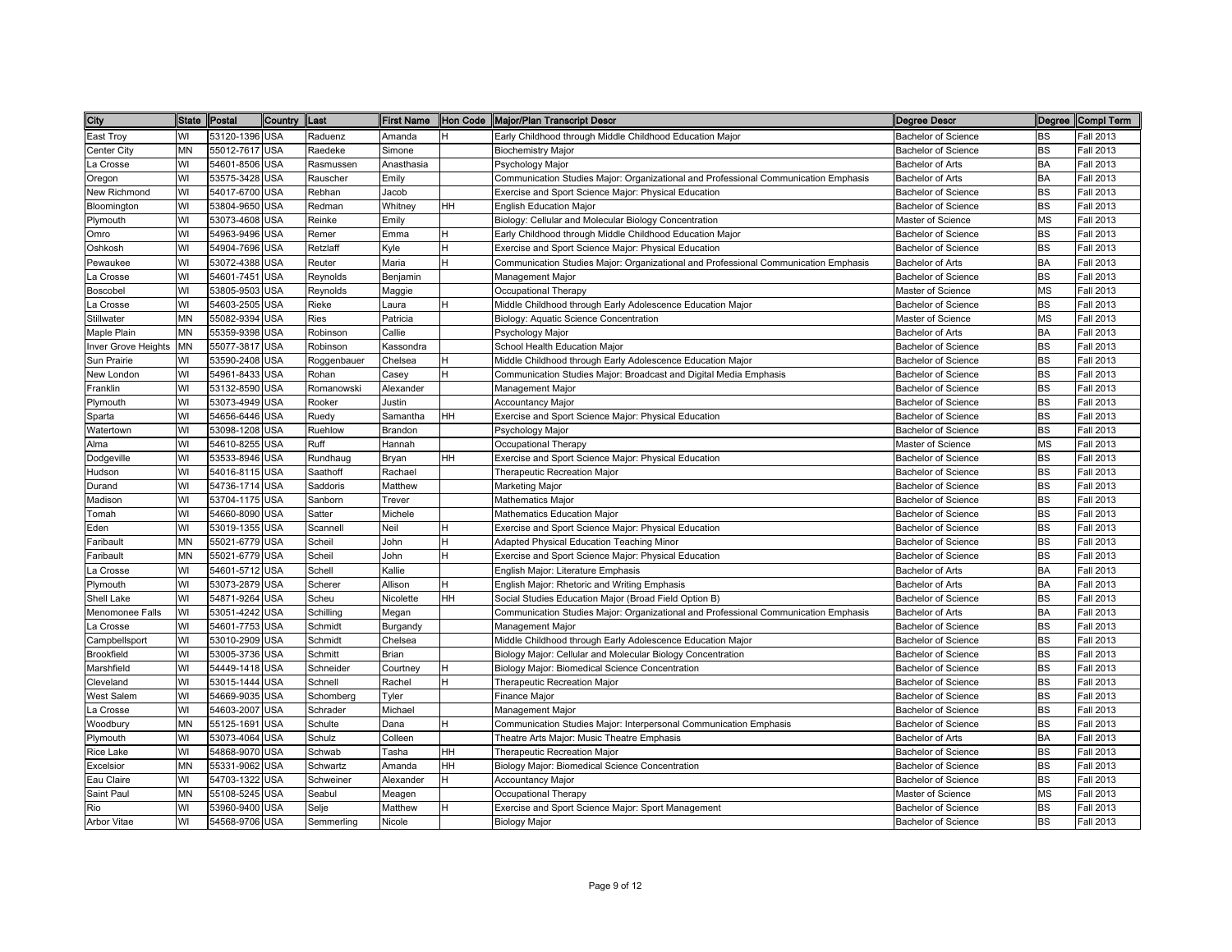| City               | State Postal |                | Country    | <b>Last</b> |            |           | First Name  Hon Code  Major/Plan Transcript Descr                                   | Degree Descr               |           | Degree Compl Term |
|--------------------|--------------|----------------|------------|-------------|------------|-----------|-------------------------------------------------------------------------------------|----------------------------|-----------|-------------------|
| East Troy          | WI           | 53120-1396 USA |            | Raduenz     | Amanda     | н         | Early Childhood through Middle Childhood Education Major                            | Bachelor of Science        | BS        | Fall 2013         |
| Center City        | ΜN           | 55012-7617 USA |            | Raedeke     | Simone     |           | <b>Biochemistry Major</b>                                                           | Bachelor of Science        | BS        | Fall 2013         |
| La Crosse          | WI           | 54601-8506 USA |            | Rasmussen   | Anasthasia |           | Psychology Major                                                                    | <b>Bachelor of Arts</b>    | <b>BA</b> | Fall 2013         |
| Oregon             | WI           | 53575-3428 USA |            | Rauscher    | Emily      |           | Communication Studies Major: Organizational and Professional Communication Emphasis | <b>Bachelor of Arts</b>    | <b>BA</b> | Fall 2013         |
| New Richmond       | WI           | 54017-6700 USA |            | Rebhan      | Jacob      |           | Exercise and Sport Science Major: Physical Education                                | <b>Bachelor of Science</b> | <b>BS</b> | Fall 2013         |
| Bloomington        | WI           | 53804-9650 USA |            | Redman      | Whitney    | <b>HH</b> | <b>English Education Major</b>                                                      | <b>Bachelor of Science</b> | <b>BS</b> | Fall 2013         |
| Plymouth           | WI           | 53073-4608 USA |            | Reinke      | Emily      |           | Biology: Cellular and Molecular Biology Concentration                               | Master of Science          | <b>MS</b> | <b>Fall 2013</b>  |
| Omro               | WI           | 54963-9496 USA |            | Remer       | Emma       | H         | Early Childhood through Middle Childhood Education Major                            | Bachelor of Science        | <b>BS</b> | Fall 2013         |
| Oshkosh            | WI           | 54904-7696 USA |            | Retzlaff    | Kyle       | H         | Exercise and Sport Science Major: Physical Education                                | <b>Bachelor of Science</b> | <b>BS</b> | Fall 2013         |
| Pewaukee           | WI           | 53072-4388 USA |            | Reuter      | Maria      | H         | Communication Studies Major: Organizational and Professional Communication Emphasis | Bachelor of Arts           | BA        | Fall 2013         |
| La Crosse          | WI           | 54601-7451 USA |            | Reynolds    | Benjamin   |           | Management Major                                                                    | Bachelor of Science        | <b>BS</b> | Fall 2013         |
| Boscobel           | WI           | 53805-9503 USA |            | Reynolds    | Maggie     |           | Occupational Therapy                                                                | Master of Science          | <b>MS</b> | Fall 2013         |
| _a Crosse          | WI           | 54603-2505 USA |            | Rieke       | Laura      | H         | Middle Childhood through Early Adolescence Education Major                          | Bachelor of Science        | <b>BS</b> | Fall 2013         |
| Stillwater         | MN           | 55082-9394 USA |            | Ries        | Patricia   |           | Biology: Aquatic Science Concentration                                              | Master of Science          | <b>MS</b> | Fall 2013         |
| Maple Plain        | ΜN           | 55359-9398 USA |            | Robinson    | Callie     |           | Psychology Major                                                                    | Bachelor of Arts           | <b>BA</b> | Fall 2013         |
| nver Grove Heights | MN           | 55077-3817 USA |            | Robinson    | Kassondra  |           | School Health Education Major                                                       | <b>Bachelor of Science</b> | <b>BS</b> | Fall 2013         |
| Sun Prairie        | WI           | 53590-2408 USA |            | Roggenbauer | Chelsea    | H         | Middle Childhood through Early Adolescence Education Major                          | <b>Bachelor of Science</b> | <b>BS</b> | Fall 2013         |
| New London         | WI           | 54961-8433 USA |            | Rohan       | Casey      | H         | Communication Studies Major: Broadcast and Digital Media Emphasis                   | <b>Bachelor of Science</b> | <b>BS</b> | Fall 2013         |
| Franklin           | WI           | 53132-8590 USA |            | Romanowski  | Alexander  |           | Management Major                                                                    | <b>Bachelor of Science</b> | <b>BS</b> | Fall 2013         |
| Plymouth           | WI           | 53073-4949 USA |            | Rooker      | Justin     |           | <b>Accountancy Major</b>                                                            | <b>Bachelor of Science</b> | <b>BS</b> | Fall 2013         |
| Sparta             | WI           | 54656-6446 USA |            | Ruedy       | Samantha   | <b>HH</b> | Exercise and Sport Science Major: Physical Education                                | <b>Bachelor of Science</b> | <b>BS</b> | Fall 2013         |
| Watertown          | WI           | 53098-1208 USA |            | Ruehlow     | Brandon    |           | Psychology Major                                                                    | Bachelor of Science        | <b>BS</b> | Fall 2013         |
| Alma               | WI           | 54610-8255 USA |            | Ruff        | Hannah     |           | Occupational Therapy                                                                | Master of Science          | <b>MS</b> | Fall 2013         |
| Dodgeville         | WI           | 53533-8946 USA |            | Rundhaug    | Bryan      | <b>HH</b> | Exercise and Sport Science Major: Physical Education                                | Bachelor of Science        | <b>BS</b> | <b>Fall 2013</b>  |
| Hudson             | WI           | 54016-8115 USA |            | Saathoff    | Rachael    |           | Therapeutic Recreation Major                                                        | Bachelor of Science        | <b>BS</b> | Fall 2013         |
| Durand             | WI           | 54736-1714 USA |            | Saddoris    | Matthew    |           | Marketing Major                                                                     | <b>Bachelor of Science</b> | <b>BS</b> | Fall 2013         |
| Madison            | WI           | 53704-1175 USA |            | Sanborn     | Trever     |           | Mathematics Major                                                                   | <b>Bachelor of Science</b> | <b>BS</b> | Fall 2013         |
| <b>Tomah</b>       | WI           | 54660-8090 USA |            | Satter      | Michele    |           | Mathematics Education Major                                                         | Bachelor of Science        | <b>BS</b> | Fall 2013         |
| Eden               | WI           | 53019-1355 USA |            | Scannell    | Neil       | H         | Exercise and Sport Science Major: Physical Education                                | Bachelor of Science        | <b>BS</b> | Fall 2013         |
| Faribault          | MN           | 55021-6779 USA |            | Scheil      | John       | H         | Adapted Physical Education Teaching Minor                                           | <b>Bachelor of Science</b> | <b>BS</b> | Fall 2013         |
| Faribault          | ΜN           | 55021-6779 USA |            | Scheil      | John       | H         | Exercise and Sport Science Major: Physical Education                                | <b>Bachelor of Science</b> | <b>BS</b> | Fall 2013         |
| La Crosse          | WI           | 54601-5712 USA |            | Schell      | Kallie     |           | English Major: Literature Emphasis                                                  | Bachelor of Arts           | <b>BA</b> | Fall 2013         |
| Plymouth           | WI           | 53073-2879 USA |            | Scherer     | Allison    | H         | English Major: Rhetoric and Writing Emphasis                                        | <b>Bachelor of Arts</b>    | <b>BA</b> | Fall 2013         |
| Shell Lake         | WI           | 54871-9264 USA |            | Scheu       | Nicolette  | HH        | Social Studies Education Major (Broad Field Option B)                               | Bachelor of Science        | <b>BS</b> | Fall 2013         |
| Menomonee Falls    | WI           | 53051-4242 USA |            | Schilling   | Megan      |           | Communication Studies Major: Organizational and Professional Communication Emphasis | <b>Bachelor of Arts</b>    | <b>BA</b> | Fall 2013         |
| _a Crosse          | WI           | 54601-7753 USA |            | Schmidt     | Burgandy   |           | Management Major                                                                    | Bachelor of Science        | <b>BS</b> | Fall 2013         |
| Campbellsport      | WI           | 53010-2909 USA |            | Schmidt     | Chelsea    |           | Middle Childhood through Early Adolescence Education Major                          | Bachelor of Science        | <b>BS</b> | Fall 2013         |
| Brookfield         | WI           | 53005-3736 USA |            | Schmitt     | Brian      |           | Biology Major: Cellular and Molecular Biology Concentration                         | Bachelor of Science        | <b>BS</b> | Fall 2013         |
| Marshfield         | WI           | 54449-1418 USA |            | Schneider   | Courtney   | н         | Biology Major: Biomedical Science Concentration                                     | <b>Bachelor of Science</b> | <b>BS</b> | Fall 2013         |
| Cleveland          | WI           | 53015-1444 USA |            | Schnell     | Rachel     | H         | Therapeutic Recreation Major                                                        | <b>Bachelor of Science</b> | <b>BS</b> | Fall 2013         |
| West Salem         | WI           | 54669-9035 USA |            | Schomberg   | Tyler      |           | Finance Major                                                                       | <b>Bachelor of Science</b> | <b>BS</b> | Fall 2013         |
| La Crosse          | WI           | 54603-2007 USA |            | Schrader    | Michael    |           | Management Major                                                                    | <b>Bachelor of Science</b> | <b>BS</b> | Fall 2013         |
| Woodbury           | ΜN           | 55125-1691     | <b>USA</b> | Schulte     | Dana       | H         | Communication Studies Major: Interpersonal Communication Emphasis                   | Bachelor of Science        | <b>BS</b> | Fall 2013         |
| Plymouth           | WI           | 53073-4064 USA |            | Schulz      | Colleen    |           | Theatre Arts Major: Music Theatre Emphasis                                          | Bachelor of Arts           | BA        | Fall 2013         |
| Rice Lake          | WI           | 54868-9070 USA |            | Schwab      | Tasha      | <b>HH</b> | Therapeutic Recreation Major                                                        | Bachelor of Science        | <b>BS</b> | Fall 2013         |
| Excelsior          | MN           | 55331-9062 USA |            | Schwartz    | Amanda     | HH        | Biology Major: Biomedical Science Concentration                                     | Bachelor of Science        | <b>BS</b> | Fall 2013         |
| Eau Claire         | WI           | 54703-1322 USA |            | Schweiner   | Alexander  | H         | <b>Accountancy Major</b>                                                            | <b>Bachelor of Science</b> | <b>BS</b> | Fall 2013         |
| Saint Paul         | ΜN           | 55108-5245 USA |            | Seabul      | Meagen     |           | Occupational Therapy                                                                | Master of Science          | <b>MS</b> | Fall 2013         |
| Rio                | WI           | 53960-9400 USA |            | Selje       | Matthew    | H         | Exercise and Sport Science Major: Sport Management                                  | Bachelor of Science        | <b>BS</b> | Fall 2013         |
| Arbor Vitae        | WI           | 54568-9706 USA |            | Semmerling  | Nicole     |           | <b>Biology Major</b>                                                                | <b>Bachelor of Science</b> | <b>BS</b> | Fall 2013         |
|                    |              |                |            |             |            |           |                                                                                     |                            |           |                   |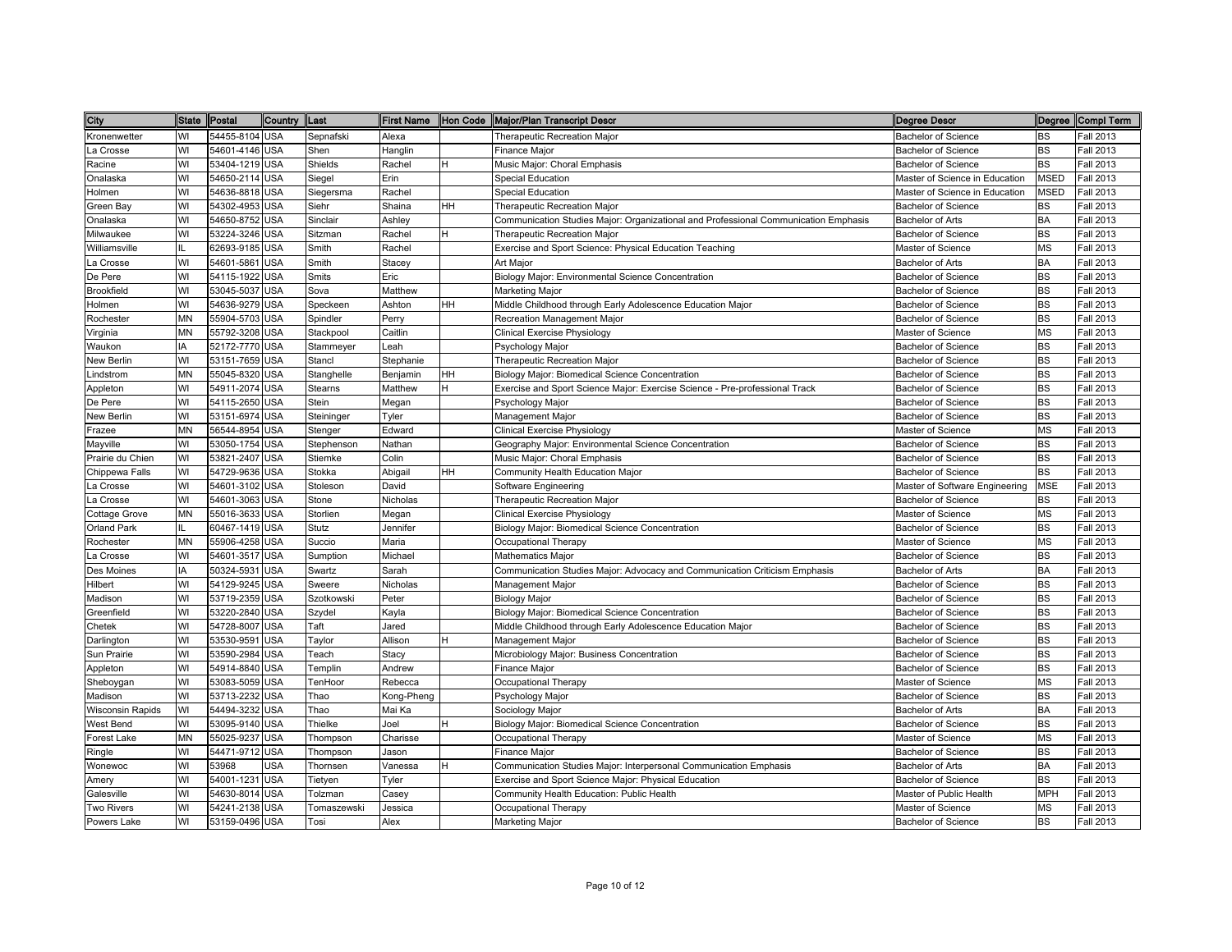| City                    | State Postal |                | Country    | Last           |            |           | First Name  Hon Code  Major/Plan Transcript Descr                                   | Degree Descr                   |             | Degree Compl Term |
|-------------------------|--------------|----------------|------------|----------------|------------|-----------|-------------------------------------------------------------------------------------|--------------------------------|-------------|-------------------|
| Kronenwetter            | WI           | 54455-8104 USA |            | Sepnafski      | Alexa      |           | Therapeutic Recreation Major                                                        | Bachelor of Science            | <b>BS</b>   | <b>Fall 2013</b>  |
| La Crosse               | WI           | 54601-4146 USA |            | Shen           | Hanglin    |           | Finance Major                                                                       | <b>Bachelor of Science</b>     | BS          | Fall 2013         |
| Racine                  | WI           | 53404-1219 USA |            | Shields        | Rachel     | H         | Music Major: Choral Emphasis                                                        | <b>Bachelor of Science</b>     | <b>BS</b>   | Fall 2013         |
| Onalaska                | WI           | 54650-2114 USA |            | Siegel         | Erin       |           | Special Education                                                                   | Master of Science in Education | <b>MSED</b> | Fall 2013         |
| Holmen                  | WI           | 54636-8818 USA |            | Siegersma      | Rachel     |           | <b>Special Education</b>                                                            | Master of Science in Education | <b>MSED</b> | Fall 2013         |
| Green Bay               | WI           | 54302-4953 USA |            | Siehr          | Shaina     | <b>HH</b> | <b>Therapeutic Recreation Major</b>                                                 | <b>Bachelor of Science</b>     | <b>BS</b>   | <b>Fall 2013</b>  |
| Onalaska                | WI           | 54650-8752 USA |            | Sinclair       | Ashley     |           | Communication Studies Major: Organizational and Professional Communication Emphasis | <b>Bachelor of Arts</b>        | BA          | <b>Fall 2013</b>  |
| Milwaukee               | WI           | 53224-3246 USA |            | Sitzman        | Rachel     | H         | Therapeutic Recreation Major                                                        | <b>Bachelor of Science</b>     | <b>BS</b>   | <b>Fall 2013</b>  |
| Williamsville           | IL           | 62693-9185 USA |            | Smith          | Rachel     |           | Exercise and Sport Science: Physical Education Teaching                             | Master of Science              | <b>MS</b>   | Fall 2013         |
| La Crosse               | WI           | 54601-5861     | <b>USA</b> | Smith          | Stacey     |           | Art Major                                                                           | Bachelor of Arts               | <b>BA</b>   | <b>Fall 2013</b>  |
| De Pere                 | WI           | 54115-1922 USA |            | Smits          | Eric       |           | Biology Major: Environmental Science Concentration                                  | <b>Bachelor of Science</b>     | <b>BS</b>   | <b>Fall 2013</b>  |
| <b>Brookfield</b>       | WI           | 53045-5037 USA |            | Sova           | Matthew    |           | <b>Marketing Major</b>                                                              | <b>Bachelor of Science</b>     | <b>BS</b>   | <b>Fall 2013</b>  |
| Holmen                  | WI           | 54636-9279 USA |            | Speckeen       | Ashton     | HH        | Middle Childhood through Early Adolescence Education Major                          | <b>Bachelor of Science</b>     | <b>BS</b>   | <b>Fall 2013</b>  |
| Rochester               | MN           | 55904-5703 USA |            | Spindler       | Perry      |           | Recreation Management Major                                                         | <b>Bachelor of Science</b>     | <b>BS</b>   | <b>Fall 2013</b>  |
| √irginia                | ΜN           | 55792-3208 USA |            | Stackpool      | Caitlin    |           | Clinical Exercise Physiology                                                        | Master of Science              | <b>MS</b>   | Fall 2013         |
| Waukon                  | IA           | 52172-7770 USA |            | Stammeyer      | Leah       |           | Psychology Major                                                                    | <b>Bachelor of Science</b>     | <b>BS</b>   | Fall 2013         |
| New Berlin              | WI           | 53151-7659 USA |            | Stancl         | Stephanie  |           | Therapeutic Recreation Major                                                        | <b>Bachelor of Science</b>     | <b>BS</b>   | <b>Fall 2013</b>  |
| _indstrom               | MN           | 55045-8320 USA |            | Stanghelle     | Benjamin   | HH.       | Biology Major: Biomedical Science Concentration                                     | <b>Bachelor of Science</b>     | <b>BS</b>   | <b>Fall 2013</b>  |
| Appleton                | WI           | 54911-2074 USA |            | <b>Stearns</b> | Matthew    | H         | Exercise and Sport Science Major: Exercise Science - Pre-professional Track         | <b>Bachelor of Science</b>     | <b>BS</b>   | <b>Fall 2013</b>  |
| De Pere                 | WI           | 54115-2650     | <b>USA</b> | Stein          | Megan      |           | Psychology Major                                                                    | <b>Bachelor of Science</b>     | <b>BS</b>   | <b>Fall 2013</b>  |
| New Berlin              | WI           | 53151-6974 USA |            | Steininger     | Tyler      |           | Management Major                                                                    | Bachelor of Science            | <b>BS</b>   | Fall 2013         |
| Frazee                  | MN           | 56544-8954 USA |            | Stenger        | Edward     |           | <b>Clinical Exercise Physiology</b>                                                 | Master of Science              | <b>MS</b>   | <b>Fall 2013</b>  |
| Mayville                | WI           | 53050-1754 USA |            | Stephenson     | Nathan     |           | Geography Major: Environmental Science Concentration                                | <b>Bachelor of Science</b>     | <b>BS</b>   | <b>Fall 2013</b>  |
| Prairie du Chien        | WI           | 53821-2407 USA |            | Stiemke        | Colin      |           | Music Major: Choral Emphasis                                                        | <b>Bachelor of Science</b>     | <b>BS</b>   | <b>Fall 2013</b>  |
| Chippewa Falls          | WI           | 54729-9636 USA |            | Stokka         | Abigail    | HH        | Community Health Education Major                                                    | Bachelor of Science            | <b>BS</b>   | <b>Fall 2013</b>  |
| a Crosse                | WI           | 54601-3102 USA |            | Stoleson       | David      |           | Software Engineering                                                                | Master of Software Engineering | <b>MSE</b>  | <b>Fall 2013</b>  |
| a Crosse                | WI           | 54601-3063 USA |            | Stone          | Nicholas   |           | Therapeutic Recreation Major                                                        | <b>Bachelor of Science</b>     | <b>BS</b>   | Fall 2013         |
| Cottage Grove           | MN           | 55016-3633 USA |            | Storlien       | Megan      |           | Clinical Exercise Physiology                                                        | Master of Science              | <b>MS</b>   | Fall 2013         |
| Orland Park             | П.           | 60467-1419 USA |            | Stutz          | Jennifer   |           | Biology Major: Biomedical Science Concentration                                     | <b>Bachelor of Science</b>     | <b>BS</b>   | <b>Fall 2013</b>  |
| Rochester               | MN           | 55906-4258 USA |            | Succio         | Maria      |           | Occupational Therapy                                                                | Master of Science              | <b>MS</b>   | <b>Fall 2013</b>  |
| La Crosse               | WI           | 54601-3517 USA |            | Sumption       | Michael    |           | Mathematics Major                                                                   | <b>Bachelor of Science</b>     | <b>BS</b>   | <b>Fall 2013</b>  |
| Des Moines              | IA           | 50324-5931     | <b>USA</b> | Swartz         | Sarah      |           | Communication Studies Major: Advocacy and Communication Criticism Emphasis          | Bachelor of Arts               | <b>BA</b>   | <b>Fall 2013</b>  |
| Hilbert                 | WI           | 54129-9245 USA |            | Sweere         | Nicholas   |           | Management Major                                                                    | <b>Bachelor of Science</b>     | <b>BS</b>   | Fall 2013         |
| Madison                 | WI           | 53719-2359 USA |            | Szotkowski     | Peter      |           | <b>Biology Major</b>                                                                | <b>Bachelor of Science</b>     | <b>BS</b>   | Fall 2013         |
| Greenfield              | WI           | 53220-2840 USA |            | Szydel         | Kayla      |           | Biology Major: Biomedical Science Concentration                                     | <b>Bachelor of Science</b>     | <b>BS</b>   | <b>Fall 2013</b>  |
| Chetek                  | WI           | 54728-8007 USA |            | Taft           | Jared      |           | Middle Childhood through Early Adolescence Education Major                          | <b>Bachelor of Science</b>     | <b>BS</b>   | <b>Fall 2013</b>  |
| Darlington              | WI           | 53530-9591     | <b>USA</b> | Taylor         | Allison    | Н         | Management Major                                                                    | <b>Bachelor of Science</b>     | <b>BS</b>   | Fall 2013         |
| Sun Prairie             | WI           | 53590-2984 USA |            | Teach          | Stacy      |           | Microbiology Major: Business Concentration                                          | <b>Bachelor of Science</b>     | <b>BS</b>   | <b>Fall 2013</b>  |
| Appleton                | WI           | 54914-8840 USA |            | Templin        | Andrew     |           | Finance Major                                                                       | <b>Bachelor of Science</b>     | BS          | Fall 2013         |
| Sheboygan               | WI           | 53083-5059 USA |            | TenHoor        | Rebecca    |           | Occupational Therapy                                                                | Master of Science              | <b>MS</b>   | Fall 2013         |
| Madison                 | WI           | 53713-2232     | <b>USA</b> | Thao           | Kong-Pheng |           | Psychology Major                                                                    | <b>Bachelor of Science</b>     | <b>BS</b>   | Fall 2013         |
| <b>Wisconsin Rapids</b> | WI           | 54494-3232     | <b>USA</b> | Thao           | Mai Ka     |           | Sociology Major                                                                     | Bachelor of Arts               | <b>BA</b>   | <b>Fall 2013</b>  |
| West Bend               | WI           | 53095-9140 USA |            | Thielke        | Joel       | н         | Biology Major: Biomedical Science Concentration                                     | <b>Bachelor of Science</b>     | <b>BS</b>   | <b>Fall 2013</b>  |
| Forest Lake             | MN           | 55025-9237     | <b>USA</b> | Thompson       | Charisse   |           | Occupational Therapy                                                                | Master of Science              | <b>MS</b>   | <b>Fall 2013</b>  |
| Ringle                  | WI           | 54471-9712 USA |            | Thompson       | Jason      |           | <b>Finance Major</b>                                                                | <b>Bachelor of Science</b>     | <b>BS</b>   | Fall 2013         |
| Wonewoc                 | WI           | 53968          | <b>USA</b> | Thornsen       | Vanessa    | н         | Communication Studies Major: Interpersonal Communication Emphasis                   | Bachelor of Arts               | <b>BA</b>   | Fall 2013         |
| Amery                   | WI           | 54001-1231     | <b>USA</b> | Tietyen        | Tyler      |           | Exercise and Sport Science Major: Physical Education                                | <b>Bachelor of Science</b>     | <b>BS</b>   | <b>Fall 2013</b>  |
| Galesville              | WI           | 54630-8014 USA |            | Tolzman        | Casey      |           | Community Health Education: Public Health                                           | Master of Public Health        | <b>MPH</b>  | <b>Fall 2013</b>  |
| Two Rivers              | WI           | 54241-2138 USA |            | Tomaszewski    | Jessica    |           | Occupational Therapy                                                                | Master of Science              | <b>MS</b>   | Fall 2013         |
| Powers Lake             | WI           | 53159-0496 USA |            | Tosi           | Alex       |           | <b>Marketing Major</b>                                                              | <b>Bachelor of Science</b>     | <b>BS</b>   | <b>Fall 2013</b>  |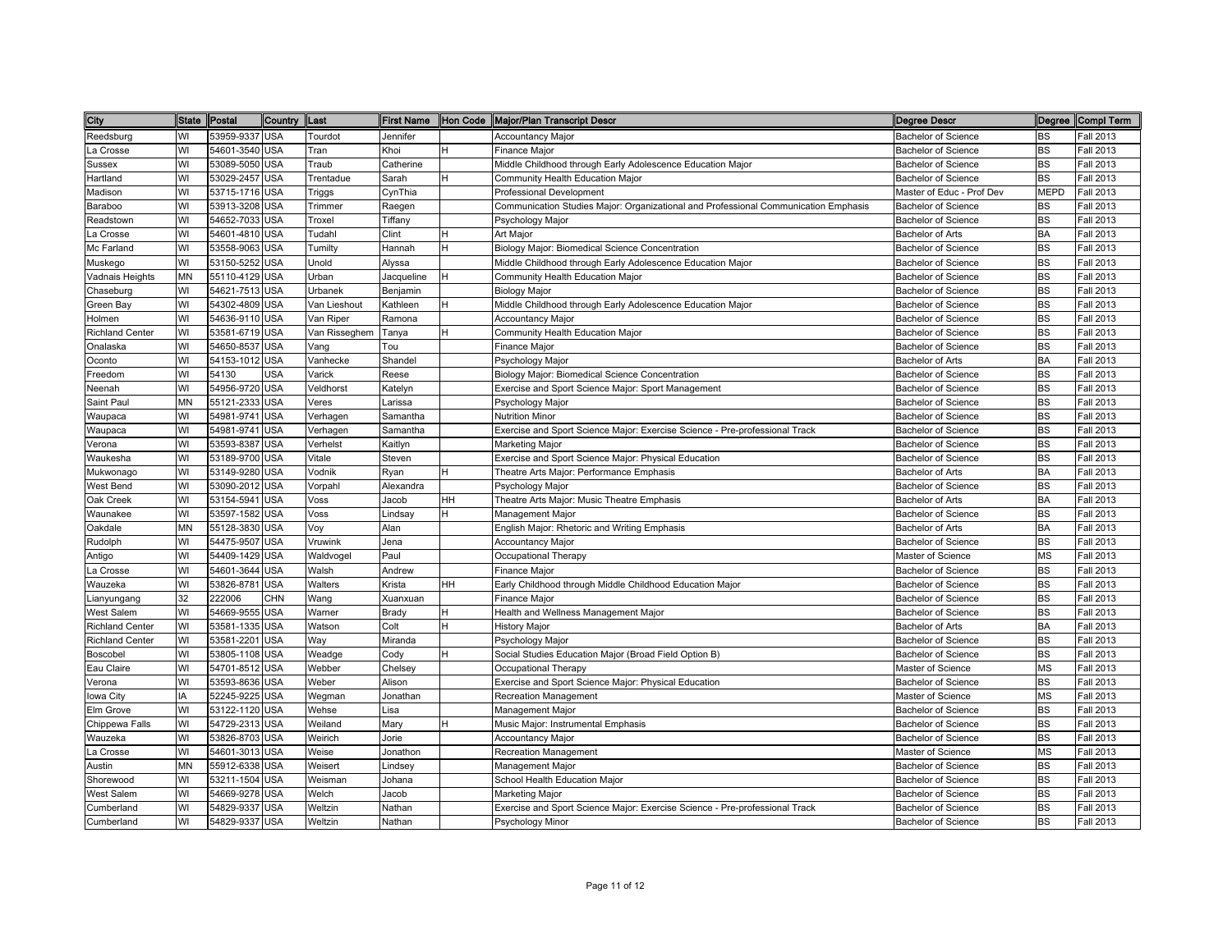| City                   | State Postal |                | Country Last |               |            |           | First Name  Hon Code  Major/Plan Transcript Descr                                   | Degree Descr               |             | Degree Compl Term |
|------------------------|--------------|----------------|--------------|---------------|------------|-----------|-------------------------------------------------------------------------------------|----------------------------|-------------|-------------------|
| Reedsburg              | WI           | 53959-9337 USA |              | Tourdot       | Jennifer   |           | Accountancy Major                                                                   | Bachelor of Science        | BS          | Fall 2013         |
| La Crosse              | WI           | 54601-3540 USA |              | Tran          | Khoi       | н         | Finance Major                                                                       | Bachelor of Science        | BS          | Fall 2013         |
| Sussex                 | WI           | 53089-5050 USA |              | Traub         | Catherine  |           | Middle Childhood through Early Adolescence Education Major                          | <b>Bachelor of Science</b> | <b>BS</b>   | Fall 2013         |
| Hartland               | WI           | 53029-2457 USA |              | Trentadue     | Sarah      | H         | Community Health Education Major                                                    | <b>Bachelor of Science</b> | <b>BS</b>   | Fall 2013         |
| Madison                | WI           | 53715-1716 USA |              | Triggs        | CynThia    |           | <b>Professional Development</b>                                                     | Master of Educ - Prof Dev  | <b>MEPD</b> | Fall 2013         |
| Baraboo                | WI           | 53913-3208 USA |              | Trimmer       | Raegen     |           | Communication Studies Major: Organizational and Professional Communication Emphasis | <b>Bachelor of Science</b> | <b>BS</b>   | Fall 2013         |
| Readstown              | WI           | 54652-7033 USA |              | Troxel        | Tiffany    |           | Psychology Major                                                                    | <b>Bachelor of Science</b> | <b>BS</b>   | Fall 2013         |
| La Crosse              | WI           | 54601-4810 USA |              | Tudahl        | Clint      | H         | Art Major                                                                           | Bachelor of Arts           | BA          | Fall 2013         |
| Mc Farland             | WI           | 53558-9063 USA |              | Tumilty       | Hannah     | H         | Biology Major: Biomedical Science Concentration                                     | <b>Bachelor of Science</b> | <b>BS</b>   | Fall 2013         |
| Muskego                | WI           | 53150-5252 USA |              | Unold         | Alyssa     |           | Middle Childhood through Early Adolescence Education Major                          | Bachelor of Science        | <b>BS</b>   | Fall 2013         |
| Vadnais Heights        | ΜN           | 55110-4129 USA |              | Urban         | Jacqueline | H         | Community Health Education Major                                                    | Bachelor of Science        | <b>BS</b>   | Fall 2013         |
| Chaseburg              | WI           | 54621-7513 USA |              | Urbanek       | Benjamin   |           | <b>Biology Major</b>                                                                | Bachelor of Science        | <b>BS</b>   | Fall 2013         |
| Green Bay              | WI           | 54302-4809 USA |              | Van Lieshout  | Kathleen   | H         | Middle Childhood through Early Adolescence Education Major                          | Bachelor of Science        | <b>BS</b>   | Fall 2013         |
| Holmen                 | WI           | 54636-9110 USA |              | Van Riper     | Ramona     |           | Accountancy Major                                                                   | Bachelor of Science        | <b>BS</b>   | Fall 2013         |
| <b>Richland Center</b> | WI           | 53581-6719 USA |              | Van Risseghem | Tanya      | н         | Community Health Education Major                                                    | <b>Bachelor of Science</b> | <b>BS</b>   | Fall 2013         |
| Onalaska               | WI           | 54650-8537     | <b>USA</b>   | Vang          | Tou        |           | <b>Finance Major</b>                                                                | <b>Bachelor of Science</b> | <b>BS</b>   | Fall 2013         |
| Oconto                 | WI           | 54153-1012 USA |              | Vanhecke      | Shandel    |           | Psychology Major                                                                    | <b>Bachelor of Arts</b>    | <b>BA</b>   | Fall 2013         |
| Freedom                | WI           | 54130          | <b>USA</b>   | Varick        | Reese      |           | Biology Major: Biomedical Science Concentration                                     | <b>Bachelor of Science</b> | <b>BS</b>   | Fall 2013         |
| Neenah                 | WI           | 54956-9720 USA |              | Veldhorst     | Katelyn    |           | Exercise and Sport Science Major: Sport Management                                  | Bachelor of Science        | <b>BS</b>   | Fall 2013         |
| Saint Paul             | MN           | 55121-2333 USA |              | Veres         | Larissa    |           | Psychology Major                                                                    | <b>Bachelor of Science</b> | <b>BS</b>   | Fall 2013         |
| Waupaca                | WI           | 54981-9741 USA |              | Verhagen      | Samantha   |           | <b>Nutrition Minor</b>                                                              | <b>Bachelor of Science</b> | <b>BS</b>   | Fall 2013         |
| Waupaca                | WI           | 54981-9741 USA |              | Verhagen      | Samantha   |           | Exercise and Sport Science Major: Exercise Science - Pre-professional Track         | Bachelor of Science        | <b>BS</b>   | Fall 2013         |
| Verona                 | WI           | 53593-8387 USA |              | Verhelst      | Kaitlyn    |           | Marketing Major                                                                     | Bachelor of Science        | <b>BS</b>   | Fall 2013         |
| Waukesha               | WI           | 53189-9700 USA |              | Vitale        | Steven     |           | Exercise and Sport Science Major: Physical Education                                | Bachelor of Science        | <b>BS</b>   | <b>Fall 2013</b>  |
| Mukwonago              | WI           | 53149-9280 USA |              | Vodnik        | Ryan       | Н         | Theatre Arts Major: Performance Emphasis                                            | Bachelor of Arts           | BA          | Fall 2013         |
| West Bend              | WI           | 53090-2012 USA |              | Vorpah        | Alexandra  |           | Psychology Major                                                                    | <b>Bachelor of Science</b> | BS          | Fall 2013         |
| Oak Creek              | WI           | 53154-5941     | <b>USA</b>   | Voss          | Jacob      | HH        | Theatre Arts Major: Music Theatre Emphasis                                          | Bachelor of Arts           | BA          | Fall 2013         |
| Naunakee               | WI           | 53597-1582 USA |              | Voss          | Lindsay    | H         | Management Major                                                                    | Bachelor of Science        | <b>BS</b>   | Fall 2013         |
| Oakdale                | MN           | 55128-3830 USA |              | Voy           | Alan       |           | English Major: Rhetoric and Writing Emphasis                                        | <b>Bachelor of Arts</b>    | <b>BA</b>   | Fall 2013         |
| Rudolph                | WI           | 54475-9507 USA |              | Vruwink       | Jena       |           | <b>Accountancy Major</b>                                                            | <b>Bachelor of Science</b> | <b>BS</b>   | Fall 2013         |
| Antigo                 | WI           | 54409-1429 USA |              | Waldvogel     | Paul       |           | Occupational Therapy                                                                | Master of Science          | <b>MS</b>   | Fall 2013         |
| La Crosse              | WI           | 54601-3644 USA |              | Walsh         | Andrew     |           | Finance Major                                                                       | <b>Bachelor of Science</b> | <b>BS</b>   | Fall 2013         |
| Wauzeka                | WI           | 53826-8781     | <b>USA</b>   | Walters       | Krista     | <b>HH</b> | Early Childhood through Middle Childhood Education Major                            | Bachelor of Science        | <b>BS</b>   | Fall 2013         |
| Lianyungang            | 32           | 222006         | <b>CHN</b>   | Wang          | Xuanxuan   |           | Finance Major                                                                       | Bachelor of Science        | <b>BS</b>   | Fall 2013         |
| West Salem             | WI           | 54669-9555 USA |              | Warner        | Brady      | H         | Health and Wellness Management Major                                                | Bachelor of Science        | <b>BS</b>   | Fall 2013         |
| <b>Richland Center</b> | WI           | 53581-1335 USA |              | Watson        | Colt       | H         | <b>History Major</b>                                                                | Bachelor of Arts           | <b>BA</b>   | Fall 2013         |
| <b>Richland Center</b> | WI           | 53581-2201 USA |              | Way           | Miranda    |           | Psychology Major                                                                    | Bachelor of Science        | <b>BS</b>   | Fall 2013         |
| Boscobel               | WI           | 53805-1108 USA |              | Weadge        | Cody       | н         | Social Studies Education Major (Broad Field Option B)                               | <b>Bachelor of Science</b> | <b>BS</b>   | Fall 2013         |
| Eau Claire             | WI           | 54701-8512 USA |              | Webber        | Chelsey    |           | Occupational Therapy                                                                | Master of Science          | <b>MS</b>   | Fall 2013         |
| √erona                 | WI           | 53593-8636 USA |              | Weber         | Alison     |           | Exercise and Sport Science Major: Physical Education                                | <b>Bachelor of Science</b> | <b>BS</b>   | Fall 2013         |
| owa City               | IA           | 52245-9225 USA |              | Wegman        | Jonathan   |           | <b>Recreation Management</b>                                                        | Master of Science          | <b>MS</b>   | Fall 2013         |
| Elm Grove              | WI           | 53122-1120 USA |              | Wehse         | Lisa       |           | <b>Management Major</b>                                                             | <b>Bachelor of Science</b> | <b>BS</b>   | Fall 2013         |
| Chippewa Falls         | WI           | 54729-2313 USA |              | Weiland       | Mary       | H         | Music Major: Instrumental Emphasis                                                  | Bachelor of Science        | <b>BS</b>   | Fall 2013         |
| Wauzeka                | WI           | 53826-8703 USA |              | Weirich       | Jorie      |           | <b>Accountancy Major</b>                                                            | <b>Bachelor of Science</b> | <b>BS</b>   | Fall 2013         |
| La Crosse              | WI           | 54601-3013 USA |              | Weise         | Jonathon   |           | <b>Recreation Management</b>                                                        | Master of Science          | <b>MS</b>   | Fall 2013         |
| Austin                 | MN           | 55912-6338 USA |              | Weisert       | Lindsey    |           | Management Major                                                                    | Bachelor of Science        | <b>BS</b>   | Fall 2013         |
| Shorewood              | WI           | 53211-1504 USA |              | Weisman       | Johana     |           | School Health Education Major                                                       | Bachelor of Science        | <b>BS</b>   | Fall 2013         |
| West Salem             | WI           | 54669-9278 USA |              | Welch         | Jacob      |           | Marketing Major                                                                     | Bachelor of Science        | BS          | Fall 2013         |
| Cumberland             | WI           | 54829-9337 USA |              | Weltzin       | Nathan     |           | Exercise and Sport Science Major: Exercise Science - Pre-professional Track         | Bachelor of Science        | <b>BS</b>   | Fall 2013         |
| Cumberland             | WI           | 54829-9337 USA |              | Weltzin       | Nathan     |           | Psychology Minor                                                                    | <b>Bachelor of Science</b> | <b>BS</b>   | <b>Fall 2013</b>  |